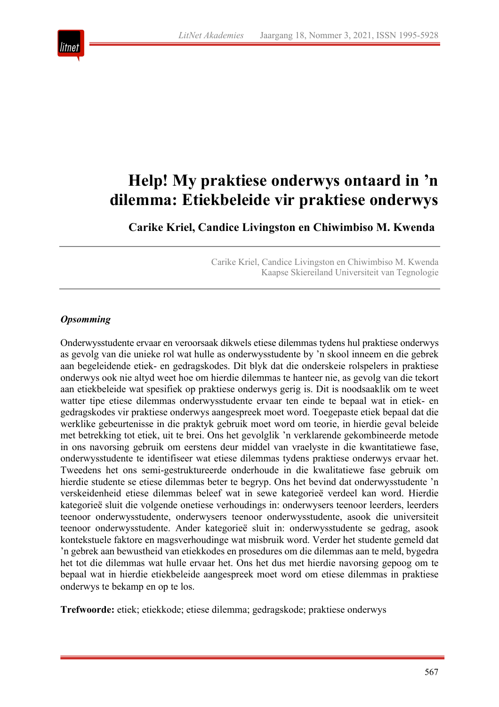

# **Help! My praktiese onderwys ontaard in 'n dilemma: Etiekbeleide vir praktiese onderwys**

**Carike Kriel, Candice Livingston en Chiwimbiso M. Kwenda**

Carike Kriel, Candice Livingston en Chiwimbiso M. Kwenda Kaapse Skiereiland Universiteit van Tegnologie

# *Opsomming*

Onderwysstudente ervaar en veroorsaak dikwels etiese dilemmas tydens hul praktiese onderwys as gevolg van die unieke rol wat hulle as onderwysstudente by 'n skool inneem en die gebrek aan begeleidende etiek- en gedragskodes. Dit blyk dat die onderskeie rolspelers in praktiese onderwys ook nie altyd weet hoe om hierdie dilemmas te hanteer nie, as gevolg van die tekort aan etiekbeleide wat spesifiek op praktiese onderwys gerig is. Dit is noodsaaklik om te weet watter tipe etiese dilemmas onderwysstudente ervaar ten einde te bepaal wat in etiek- en gedragskodes vir praktiese onderwys aangespreek moet word. Toegepaste etiek bepaal dat die werklike gebeurtenisse in die praktyk gebruik moet word om teorie, in hierdie geval beleide met betrekking tot etiek, uit te brei. Ons het gevolglik 'n verklarende gekombineerde metode in ons navorsing gebruik om eerstens deur middel van vraelyste in die kwantitatiewe fase, onderwysstudente te identifiseer wat etiese dilemmas tydens praktiese onderwys ervaar het. Tweedens het ons semi-gestruktureerde onderhoude in die kwalitatiewe fase gebruik om hierdie studente se etiese dilemmas beter te begryp. Ons het bevind dat onderwysstudente 'n verskeidenheid etiese dilemmas beleef wat in sewe kategorieë verdeel kan word. Hierdie kategorieë sluit die volgende onetiese verhoudings in: onderwysers teenoor leerders, leerders teenoor onderwysstudente, onderwysers teenoor onderwysstudente, asook die universiteit teenoor onderwysstudente. Ander kategorieë sluit in: onderwysstudente se gedrag, asook kontekstuele faktore en magsverhoudinge wat misbruik word. Verder het studente gemeld dat 'n gebrek aan bewustheid van etiekkodes en prosedures om die dilemmas aan te meld, bygedra het tot die dilemmas wat hulle ervaar het. Ons het dus met hierdie navorsing gepoog om te bepaal wat in hierdie etiekbeleide aangespreek moet word om etiese dilemmas in praktiese onderwys te bekamp en op te los.

**Trefwoorde:** etiek; etiekkode; etiese dilemma; gedragskode; praktiese onderwys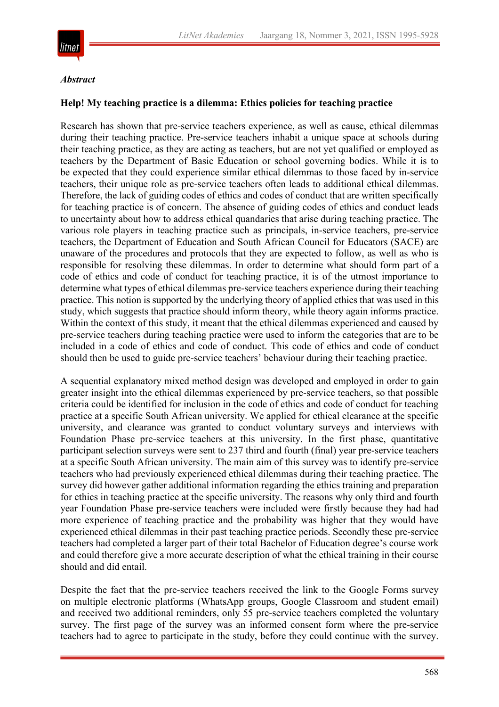

#### *Abstract*

#### **Help! My teaching practice is a dilemma: Ethics policies for teaching practice**

Research has shown that pre-service teachers experience, as well as cause, ethical dilemmas during their teaching practice. Pre-service teachers inhabit a unique space at schools during their teaching practice, as they are acting as teachers, but are not yet qualified or employed as teachers by the Department of Basic Education or school governing bodies. While it is to be expected that they could experience similar ethical dilemmas to those faced by in-service teachers, their unique role as pre-service teachers often leads to additional ethical dilemmas. Therefore, the lack of guiding codes of ethics and codes of conduct that are written specifically for teaching practice is of concern. The absence of guiding codes of ethics and conduct leads to uncertainty about how to address ethical quandaries that arise during teaching practice. The various role players in teaching practice such as principals, in-service teachers, pre-service teachers, the Department of Education and South African Council for Educators (SACE) are unaware of the procedures and protocols that they are expected to follow, as well as who is responsible for resolving these dilemmas. In order to determine what should form part of a code of ethics and code of conduct for teaching practice, it is of the utmost importance to determine what types of ethical dilemmas pre-service teachers experience during their teaching practice. This notion is supported by the underlying theory of applied ethics that was used in this study, which suggests that practice should inform theory, while theory again informs practice. Within the context of this study, it meant that the ethical dilemmas experienced and caused by pre-service teachers during teaching practice were used to inform the categories that are to be included in a code of ethics and code of conduct. This code of ethics and code of conduct should then be used to guide pre-service teachers' behaviour during their teaching practice.

A sequential explanatory mixed method design was developed and employed in order to gain greater insight into the ethical dilemmas experienced by pre-service teachers, so that possible criteria could be identified for inclusion in the code of ethics and code of conduct for teaching practice at a specific South African university. We applied for ethical clearance at the specific university, and clearance was granted to conduct voluntary surveys and interviews with Foundation Phase pre-service teachers at this university. In the first phase, quantitative participant selection surveys were sent to 237 third and fourth (final) year pre-service teachers at a specific South African university. The main aim of this survey was to identify pre-service teachers who had previously experienced ethical dilemmas during their teaching practice. The survey did however gather additional information regarding the ethics training and preparation for ethics in teaching practice at the specific university. The reasons why only third and fourth year Foundation Phase pre-service teachers were included were firstly because they had had more experience of teaching practice and the probability was higher that they would have experienced ethical dilemmas in their past teaching practice periods. Secondly these pre-service teachers had completed a larger part of their total Bachelor of Education degree's course work and could therefore give a more accurate description of what the ethical training in their course should and did entail.

Despite the fact that the pre-service teachers received the link to the Google Forms survey on multiple electronic platforms (WhatsApp groups, Google Classroom and student email) and received two additional reminders, only 55 pre-service teachers completed the voluntary survey. The first page of the survey was an informed consent form where the pre-service teachers had to agree to participate in the study, before they could continue with the survey.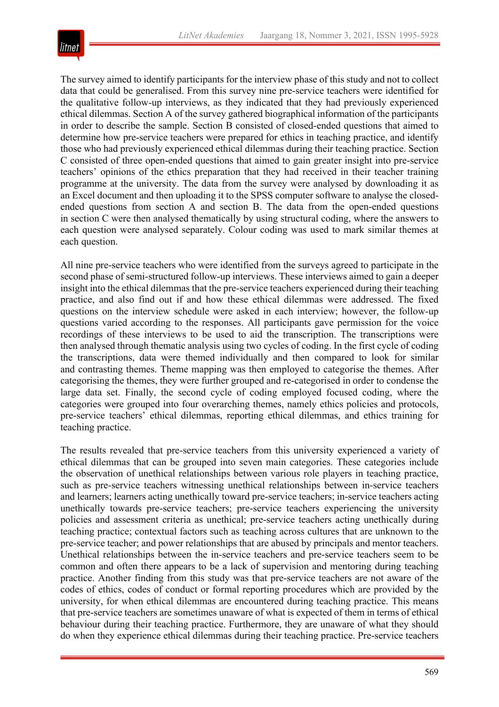

The survey aimed to identify participants for the interview phase of this study and not to collect data that could be generalised. From this survey nine pre-service teachers were identified for the qualitative follow-up interviews, as they indicated that they had previously experienced ethical dilemmas. Section A of the survey gathered biographical information of the participants in order to describe the sample. Section B consisted of closed-ended questions that aimed to determine how pre-service teachers were prepared for ethics in teaching practice, and identify those who had previously experienced ethical dilemmas during their teaching practice. Section C consisted of three open-ended questions that aimed to gain greater insight into pre-service teachers' opinions of the ethics preparation that they had received in their teacher training programme at the university. The data from the survey were analysed by downloading it as an Excel document and then uploading it to the SPSS computer software to analyse the closedended questions from section A and section B. The data from the open-ended questions in section C were then analysed thematically by using structural coding, where the answers to each question were analysed separately. Colour coding was used to mark similar themes at each question.

All nine pre-service teachers who were identified from the surveys agreed to participate in the second phase of semi-structured follow-up interviews. These interviews aimed to gain a deeper insight into the ethical dilemmas that the pre-service teachers experienced during their teaching practice, and also find out if and how these ethical dilemmas were addressed. The fixed questions on the interview schedule were asked in each interview; however, the follow-up questions varied according to the responses. All participants gave permission for the voice recordings of these interviews to be used to aid the transcription. The transcriptions were then analysed through thematic analysis using two cycles of coding. In the first cycle of coding the transcriptions, data were themed individually and then compared to look for similar and contrasting themes. Theme mapping was then employed to categorise the themes. After categorising the themes, they were further grouped and re-categorised in order to condense the large data set. Finally, the second cycle of coding employed focused coding, where the categories were grouped into four overarching themes, namely ethics policies and protocols, pre-service teachers' ethical dilemmas, reporting ethical dilemmas, and ethics training for teaching practice.

The results revealed that pre-service teachers from this university experienced a variety of ethical dilemmas that can be grouped into seven main categories. These categories include the observation of unethical relationships between various role players in teaching practice, such as pre-service teachers witnessing unethical relationships between in-service teachers and learners; learners acting unethically toward pre-service teachers; in-service teachers acting unethically towards pre-service teachers; pre-service teachers experiencing the university policies and assessment criteria as unethical; pre-service teachers acting unethically during teaching practice; contextual factors such as teaching across cultures that are unknown to the pre-service teacher; and power relationships that are abused by principals and mentor teachers. Unethical relationships between the in-service teachers and pre-service teachers seem to be common and often there appears to be a lack of supervision and mentoring during teaching practice. Another finding from this study was that pre-service teachers are not aware of the codes of ethics, codes of conduct or formal reporting procedures which are provided by the university, for when ethical dilemmas are encountered during teaching practice. This means that pre-service teachers are sometimes unaware of what is expected of them in terms of ethical behaviour during their teaching practice. Furthermore, they are unaware of what they should do when they experience ethical dilemmas during their teaching practice. Pre-service teachers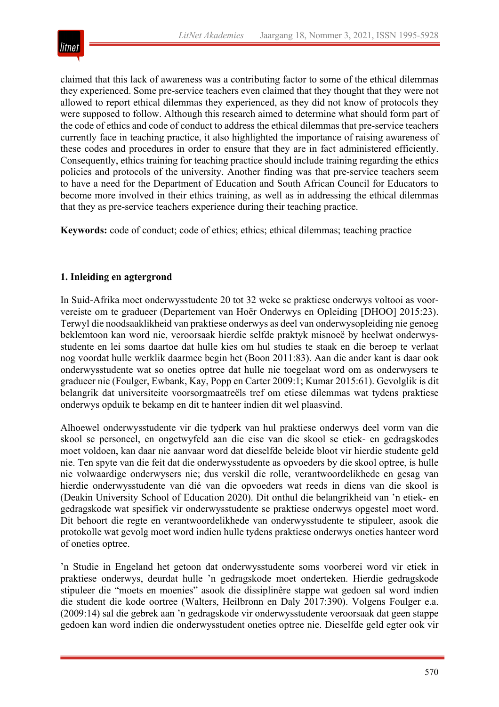

claimed that this lack of awareness was a contributing factor to some of the ethical dilemmas they experienced. Some pre-service teachers even claimed that they thought that they were not allowed to report ethical dilemmas they experienced, as they did not know of protocols they were supposed to follow. Although this research aimed to determine what should form part of the code of ethics and code of conduct to address the ethical dilemmas that pre-service teachers currently face in teaching practice, it also highlighted the importance of raising awareness of these codes and procedures in order to ensure that they are in fact administered efficiently. Consequently, ethics training for teaching practice should include training regarding the ethics policies and protocols of the university. Another finding was that pre-service teachers seem to have a need for the Department of Education and South African Council for Educators to become more involved in their ethics training, as well as in addressing the ethical dilemmas that they as pre-service teachers experience during their teaching practice.

**Keywords:** code of conduct; code of ethics; ethics; ethical dilemmas; teaching practice

# **1. Inleiding en agtergrond**

In Suid-Afrika moet onderwysstudente 20 tot 32 weke se praktiese onderwys voltooi as voorvereiste om te gradueer (Departement van Hoër Onderwys en Opleiding [DHOO] 2015:23). Terwyl die noodsaaklikheid van praktiese onderwys as deel van onderwysopleiding nie genoeg beklemtoon kan word nie, veroorsaak hierdie selfde praktyk misnoeë by heelwat onderwysstudente en lei soms daartoe dat hulle kies om hul studies te staak en die beroep te verlaat nog voordat hulle werklik daarmee begin het (Boon 2011:83). Aan die ander kant is daar ook onderwysstudente wat so oneties optree dat hulle nie toegelaat word om as onderwysers te gradueer nie (Foulger, Ewbank, Kay, Popp en Carter 2009:1; Kumar 2015:61). Gevolglik is dit belangrik dat universiteite voorsorgmaatreëls tref om etiese dilemmas wat tydens praktiese onderwys opduik te bekamp en dit te hanteer indien dit wel plaasvind.

Alhoewel onderwysstudente vir die tydperk van hul praktiese onderwys deel vorm van die skool se personeel, en ongetwyfeld aan die eise van die skool se etiek- en gedragskodes moet voldoen, kan daar nie aanvaar word dat dieselfde beleide bloot vir hierdie studente geld nie. Ten spyte van die feit dat die onderwysstudente as opvoeders by die skool optree, is hulle nie volwaardige onderwysers nie; dus verskil die rolle, verantwoordelikhede en gesag van hierdie onderwysstudente van dié van die opvoeders wat reeds in diens van die skool is (Deakin University School of Education 2020). Dit onthul die belangrikheid van 'n etiek- en gedragskode wat spesifiek vir onderwysstudente se praktiese onderwys opgestel moet word. Dit behoort die regte en verantwoordelikhede van onderwysstudente te stipuleer, asook die protokolle wat gevolg moet word indien hulle tydens praktiese onderwys oneties hanteer word of oneties optree.

'n Studie in Engeland het getoon dat onderwysstudente soms voorberei word vir etiek in praktiese onderwys, deurdat hulle 'n gedragskode moet onderteken. Hierdie gedragskode stipuleer die "moets en moenies" asook die dissiplinêre stappe wat gedoen sal word indien die student die kode oortree (Walters, Heilbronn en Daly 2017:390). Volgens Foulger e.a. (2009:14) sal die gebrek aan 'n gedragskode vir onderwysstudente veroorsaak dat geen stappe gedoen kan word indien die onderwysstudent oneties optree nie. Dieselfde geld egter ook vir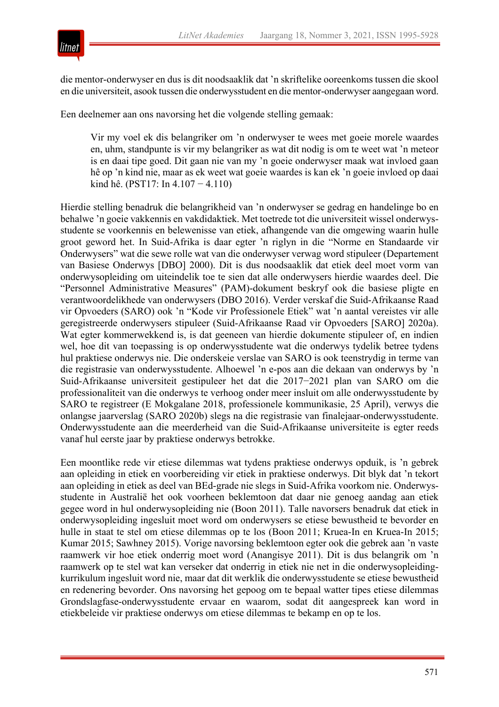



die mentor-onderwyser en dus is dit noodsaaklik dat 'n skriftelike ooreenkoms tussen die skool en die universiteit, asook tussen die onderwysstudent en die mentor-onderwyser aangegaan word.

Een deelnemer aan ons navorsing het die volgende stelling gemaak:

Vir my voel ek dis belangriker om 'n onderwyser te wees met goeie morele waardes en, uhm, standpunte is vir my belangriker as wat dit nodig is om te weet wat 'n meteor is en daai tipe goed. Dit gaan nie van my 'n goeie onderwyser maak wat invloed gaan hê op 'n kind nie, maar as ek weet wat goeie waardes is kan ek 'n goeie invloed op daai kind hê. (PST17: In 4.107 − 4.110)

Hierdie stelling benadruk die belangrikheid van 'n onderwyser se gedrag en handelinge bo en behalwe 'n goeie vakkennis en vakdidaktiek. Met toetrede tot die universiteit wissel onderwysstudente se voorkennis en belewenisse van etiek, afhangende van die omgewing waarin hulle groot geword het. In Suid-Afrika is daar egter 'n riglyn in die "Norme en Standaarde vir Onderwysers" wat die sewe rolle wat van die onderwyser verwag word stipuleer (Departement van Basiese Onderwys [DBO] 2000). Dit is dus noodsaaklik dat etiek deel moet vorm van onderwysopleiding om uiteindelik toe te sien dat alle onderwysers hierdie waardes deel. Die "Personnel Administrative Measures" (PAM)-dokument beskryf ook die basiese pligte en verantwoordelikhede van onderwysers (DBO 2016). Verder verskaf die Suid-Afrikaanse Raad vir Opvoeders (SARO) ook 'n "Kode vir Professionele Etiek" wat 'n aantal vereistes vir alle geregistreerde onderwysers stipuleer (Suid-Afrikaanse Raad vir Opvoeders [SARO] 2020a). Wat egter kommerwekkend is, is dat geeneen van hierdie dokumente stipuleer of, en indien wel, hoe dit van toepassing is op onderwysstudente wat die onderwys tydelik betree tydens hul praktiese onderwys nie. Die onderskeie verslae van SARO is ook teenstrydig in terme van die registrasie van onderwysstudente. Alhoewel 'n e-pos aan die dekaan van onderwys by 'n Suid-Afrikaanse universiteit gestipuleer het dat die 2017−2021 plan van SARO om die professionaliteit van die onderwys te verhoog onder meer insluit om alle onderwysstudente by SARO te registreer (E Mokgalane 2018, professionele kommunikasie, 25 April), verwys die onlangse jaarverslag (SARO 2020b) slegs na die registrasie van finalejaar-onderwysstudente. Onderwysstudente aan die meerderheid van die Suid-Afrikaanse universiteite is egter reeds vanaf hul eerste jaar by praktiese onderwys betrokke.

Een moontlike rede vir etiese dilemmas wat tydens praktiese onderwys opduik, is 'n gebrek aan opleiding in etiek en voorbereiding vir etiek in praktiese onderwys. Dit blyk dat 'n tekort aan opleiding in etiek as deel van BEd-grade nie slegs in Suid-Afrika voorkom nie. Onderwysstudente in Australië het ook voorheen beklemtoon dat daar nie genoeg aandag aan etiek gegee word in hul onderwysopleiding nie (Boon 2011). Talle navorsers benadruk dat etiek in onderwysopleiding ingesluit moet word om onderwysers se etiese bewustheid te bevorder en hulle in staat te stel om etiese dilemmas op te los (Boon 2011; Kruea-In en Kruea-In 2015; Kumar 2015; Sawhney 2015). Vorige navorsing beklemtoon egter ook die gebrek aan 'n vaste raamwerk vir hoe etiek onderrig moet word (Anangisye 2011). Dit is dus belangrik om 'n raamwerk op te stel wat kan verseker dat onderrig in etiek nie net in die onderwysopleidingkurrikulum ingesluit word nie, maar dat dit werklik die onderwysstudente se etiese bewustheid en redenering bevorder. Ons navorsing het gepoog om te bepaal watter tipes etiese dilemmas Grondslagfase-onderwysstudente ervaar en waarom, sodat dit aangespreek kan word in etiekbeleide vir praktiese onderwys om etiese dilemmas te bekamp en op te los.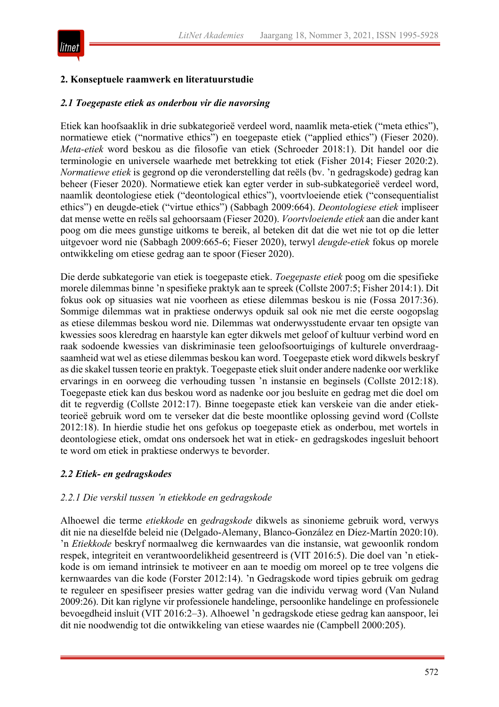

# **2. Konseptuele raamwerk en literatuurstudie**

#### *2.1 Toegepaste etiek as onderbou vir die navorsing*

Etiek kan hoofsaaklik in drie subkategorieë verdeel word, naamlik meta-etiek ("meta ethics"), normatiewe etiek ("normative ethics") en toegepaste etiek ("applied ethics") (Fieser 2020). *Meta-etiek* word beskou as die filosofie van etiek (Schroeder 2018:1). Dit handel oor die terminologie en universele waarhede met betrekking tot etiek (Fisher 2014; Fieser 2020:2). *Normatiewe etiek* is gegrond op die veronderstelling dat reëls (bv. 'n gedragskode) gedrag kan beheer (Fieser 2020). Normatiewe etiek kan egter verder in sub-subkategorieë verdeel word, naamlik deontologiese etiek ("deontological ethics"), voortvloeiende etiek ("consequentialist ethics") en deugde-etiek ("virtue ethics") (Sabbagh 2009:664). *Deontologiese etiek* impliseer dat mense wette en reëls sal gehoorsaam (Fieser 2020). *Voortvloeiende etiek* aan die ander kant poog om die mees gunstige uitkoms te bereik, al beteken dit dat die wet nie tot op die letter uitgevoer word nie (Sabbagh 2009:665-6; Fieser 2020), terwyl *deugde-etiek* fokus op morele ontwikkeling om etiese gedrag aan te spoor (Fieser 2020).

Die derde subkategorie van etiek is toegepaste etiek. *Toegepaste etiek* poog om die spesifieke morele dilemmas binne 'n spesifieke praktyk aan te spreek (Collste 2007:5; Fisher 2014:1). Dit fokus ook op situasies wat nie voorheen as etiese dilemmas beskou is nie (Fossa 2017:36). Sommige dilemmas wat in praktiese onderwys opduik sal ook nie met die eerste oogopslag as etiese dilemmas beskou word nie. Dilemmas wat onderwysstudente ervaar ten opsigte van kwessies soos kleredrag en haarstyle kan egter dikwels met geloof of kultuur verbind word en raak sodoende kwessies van diskriminasie teen geloofsoortuigings of kulturele onverdraagsaamheid wat wel as etiese dilemmas beskou kan word. Toegepaste etiek word dikwels beskryf as die skakel tussen teorie en praktyk. Toegepaste etiek sluit onder andere nadenke oor werklike ervarings in en oorweeg die verhouding tussen 'n instansie en beginsels (Collste 2012:18). Toegepaste etiek kan dus beskou word as nadenke oor jou besluite en gedrag met die doel om dit te regverdig (Collste 2012:17). Binne toegepaste etiek kan verskeie van die ander etiekteorieë gebruik word om te verseker dat die beste moontlike oplossing gevind word (Collste 2012:18). In hierdie studie het ons gefokus op toegepaste etiek as onderbou, met wortels in deontologiese etiek, omdat ons ondersoek het wat in etiek- en gedragskodes ingesluit behoort te word om etiek in praktiese onderwys te bevorder.

# *2.2 Etiek- en gedragskodes*

#### *2.2.1 Die verskil tussen 'n etiekkode en gedragskode*

Alhoewel die terme *etiekkode* en *gedragskode* dikwels as sinonieme gebruik word, verwys dit nie na dieselfde beleid nie (Delgado-Alemany, Blanco-González en Díez-Martín 2020:10). 'n *Etiekkode* beskryf normaalweg die kernwaardes van die instansie, wat gewoonlik rondom respek, integriteit en verantwoordelikheid gesentreerd is (VIT 2016:5). Die doel van 'n etiekkode is om iemand intrinsiek te motiveer en aan te moedig om moreel op te tree volgens die kernwaardes van die kode (Forster 2012:14). 'n Gedragskode word tipies gebruik om gedrag te reguleer en spesifiseer presies watter gedrag van die individu verwag word (Van Nuland 2009:26). Dit kan riglyne vir professionele handelinge, persoonlike handelinge en professionele bevoegdheid insluit (VIT 2016:2–3). Alhoewel 'n gedragskode etiese gedrag kan aanspoor, lei dit nie noodwendig tot die ontwikkeling van etiese waardes nie (Campbell 2000:205).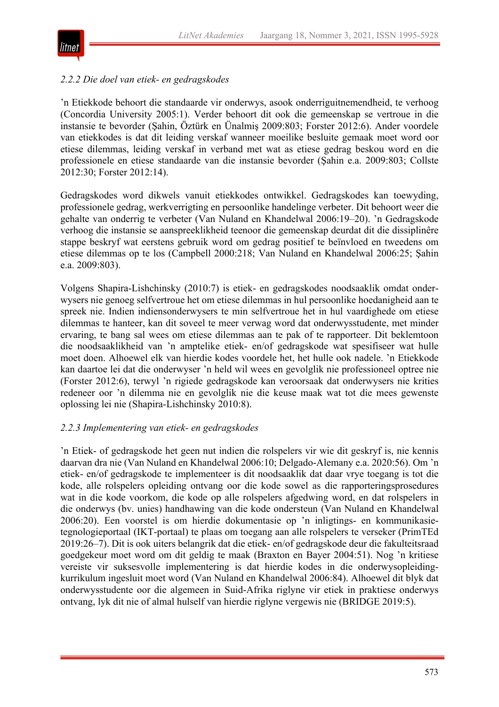

#### *2.2.2 Die doel van etiek- en gedragskodes*

'n Etiekkode behoort die standaarde vir onderwys, asook onderriguitnemendheid, te verhoog (Concordia University 2005:1). Verder behoort dit ook die gemeenskap se vertroue in die instansie te bevorder (Şahin, Öztürk en Ünalmiş 2009:803; Forster 2012:6). Ander voordele van etiekkodes is dat dit leiding verskaf wanneer moeilike besluite gemaak moet word oor etiese dilemmas, leiding verskaf in verband met wat as etiese gedrag beskou word en die professionele en etiese standaarde van die instansie bevorder (Şahin e.a. 2009:803; Collste 2012:30; Forster 2012:14).

Gedragskodes word dikwels vanuit etiekkodes ontwikkel. Gedragskodes kan toewyding, professionele gedrag, werkverrigting en persoonlike handelinge verbeter. Dit behoort weer die gehalte van onderrig te verbeter (Van Nuland en Khandelwal 2006:19–20). 'n Gedragskode verhoog die instansie se aanspreeklikheid teenoor die gemeenskap deurdat dit die dissiplinêre stappe beskryf wat eerstens gebruik word om gedrag positief te beïnvloed en tweedens om etiese dilemmas op te los (Campbell 2000:218; Van Nuland en Khandelwal 2006:25; Şahin e.a. 2009:803).

Volgens Shapira-Lishchinsky (2010:7) is etiek- en gedragskodes noodsaaklik omdat onderwysers nie genoeg selfvertroue het om etiese dilemmas in hul persoonlike hoedanigheid aan te spreek nie. Indien indiensonderwysers te min selfvertroue het in hul vaardighede om etiese dilemmas te hanteer, kan dit soveel te meer verwag word dat onderwysstudente, met minder ervaring, te bang sal wees om etiese dilemmas aan te pak of te rapporteer. Dit beklemtoon die noodsaaklikheid van 'n amptelike etiek- en/of gedragskode wat spesifiseer wat hulle moet doen. Alhoewel elk van hierdie kodes voordele het, het hulle ook nadele. 'n Etiekkode kan daartoe lei dat die onderwyser 'n held wil wees en gevolglik nie professioneel optree nie (Forster 2012:6), terwyl 'n rigiede gedragskode kan veroorsaak dat onderwysers nie krities redeneer oor 'n dilemma nie en gevolglik nie die keuse maak wat tot die mees gewenste oplossing lei nie (Shapira-Lishchinsky 2010:8).

#### *2.2.3 Implementering van etiek- en gedragskodes*

'n Etiek- of gedragskode het geen nut indien die rolspelers vir wie dit geskryf is, nie kennis daarvan dra nie (Van Nuland en Khandelwal 2006:10; Delgado-Alemany e.a. 2020:56). Om 'n etiek- en/of gedragskode te implementeer is dit noodsaaklik dat daar vrye toegang is tot die kode, alle rolspelers opleiding ontvang oor die kode sowel as die rapporteringsprosedures wat in die kode voorkom, die kode op alle rolspelers afgedwing word, en dat rolspelers in die onderwys (bv. unies) handhawing van die kode ondersteun (Van Nuland en Khandelwal 2006:20). Een voorstel is om hierdie dokumentasie op 'n inligtings- en kommunikasietegnologieportaal (IKT-portaal) te plaas om toegang aan alle rolspelers te verseker (PrimTEd 2019:26–7). Dit is ook uiters belangrik dat die etiek- en/of gedragskode deur die fakulteitsraad goedgekeur moet word om dit geldig te maak (Braxton en Bayer 2004:51). Nog 'n kritiese vereiste vir suksesvolle implementering is dat hierdie kodes in die onderwysopleidingkurrikulum ingesluit moet word (Van Nuland en Khandelwal 2006:84). Alhoewel dit blyk dat onderwysstudente oor die algemeen in Suid-Afrika riglyne vir etiek in praktiese onderwys ontvang, lyk dit nie of almal hulself van hierdie riglyne vergewis nie (BRIDGE 2019:5).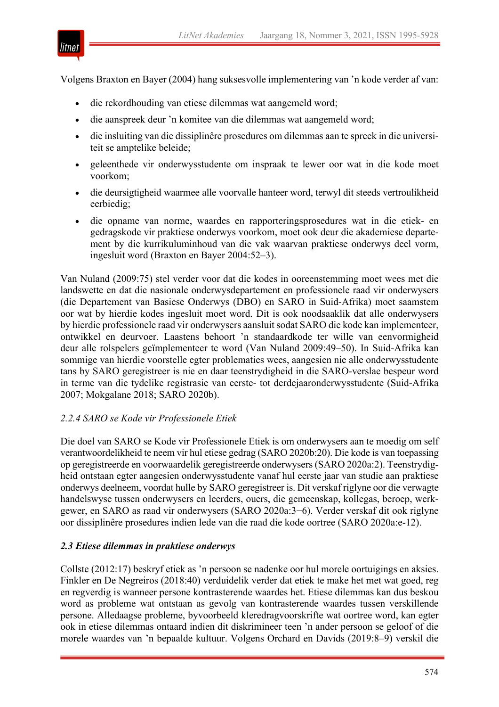

Volgens Braxton en Bayer (2004) hang suksesvolle implementering van 'n kode verder af van:

- die rekordhouding van etiese dilemmas wat aangemeld word;
- die aanspreek deur 'n komitee van die dilemmas wat aangemeld word;
- die insluiting van die dissiplinêre prosedures om dilemmas aan te spreek in die universiteit se amptelike beleide;
- geleenthede vir onderwysstudente om inspraak te lewer oor wat in die kode moet voorkom;
- die deursigtigheid waarmee alle voorvalle hanteer word, terwyl dit steeds vertroulikheid eerbiedig;
- die opname van norme, waardes en rapporteringsprosedures wat in die etiek- en gedragskode vir praktiese onderwys voorkom, moet ook deur die akademiese departement by die kurrikuluminhoud van die vak waarvan praktiese onderwys deel vorm, ingesluit word (Braxton en Bayer 2004:52–3).

Van Nuland (2009:75) stel verder voor dat die kodes in ooreenstemming moet wees met die landswette en dat die nasionale onderwysdepartement en professionele raad vir onderwysers (die Departement van Basiese Onderwys (DBO) en SARO in Suid-Afrika) moet saamstem oor wat by hierdie kodes ingesluit moet word. Dit is ook noodsaaklik dat alle onderwysers by hierdie professionele raad vir onderwysers aansluit sodat SARO die kode kan implementeer, ontwikkel en deurvoer. Laastens behoort 'n standaardkode ter wille van eenvormigheid deur alle rolspelers geïmplementeer te word (Van Nuland 2009:49–50). In Suid-Afrika kan sommige van hierdie voorstelle egter problematies wees, aangesien nie alle onderwysstudente tans by SARO geregistreer is nie en daar teenstrydigheid in die SARO-verslae bespeur word in terme van die tydelike registrasie van eerste- tot derdejaaronderwysstudente (Suid-Afrika 2007; Mokgalane 2018; SARO 2020b).

# *2.2.4 SARO se Kode vir Professionele Etiek*

Die doel van SARO se Kode vir Professionele Etiek is om onderwysers aan te moedig om self verantwoordelikheid te neem vir hul etiese gedrag (SARO 2020b:20). Die kode is van toepassing op geregistreerde en voorwaardelik geregistreerde onderwysers (SARO 2020a:2). Teenstrydigheid ontstaan egter aangesien onderwysstudente vanaf hul eerste jaar van studie aan praktiese onderwys deelneem, voordat hulle by SARO geregistreer is. Dit verskaf riglyne oor die verwagte handelswyse tussen onderwysers en leerders, ouers, die gemeenskap, kollegas, beroep, werkgewer, en SARO as raad vir onderwysers (SARO 2020a:3−6). Verder verskaf dit ook riglyne oor dissiplinêre prosedures indien lede van die raad die kode oortree (SARO 2020a:e-12).

# *2.3 Etiese dilemmas in praktiese onderwys*

Collste (2012:17) beskryf etiek as 'n persoon se nadenke oor hul morele oortuigings en aksies. Finkler en De Negreiros (2018:40) verduidelik verder dat etiek te make het met wat goed, reg en regverdig is wanneer persone kontrasterende waardes het. Etiese dilemmas kan dus beskou word as probleme wat ontstaan as gevolg van kontrasterende waardes tussen verskillende persone. Alledaagse probleme, byvoorbeeld kleredragvoorskrifte wat oortree word, kan egter ook in etiese dilemmas ontaard indien dit diskrimineer teen 'n ander persoon se geloof of die morele waardes van 'n bepaalde kultuur. Volgens Orchard en Davids (2019:8–9) verskil die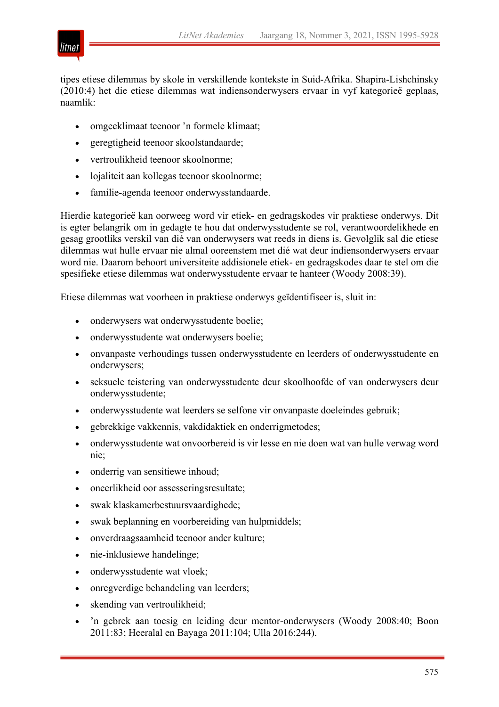

tipes etiese dilemmas by skole in verskillende kontekste in Suid-Afrika. Shapira-Lishchinsky (2010:4) het die etiese dilemmas wat indiensonderwysers ervaar in vyf kategorieë geplaas, naamlik:

- omgeeklimaat teenoor 'n formele klimaat;
- geregtigheid teenoor skoolstandaarde;
- vertroulikheid teenoor skoolnorme;
- lojaliteit aan kollegas teenoor skoolnorme;
- familie-agenda teenoor onderwysstandaarde.

Hierdie kategorieë kan oorweeg word vir etiek- en gedragskodes vir praktiese onderwys. Dit is egter belangrik om in gedagte te hou dat onderwysstudente se rol, verantwoordelikhede en gesag grootliks verskil van dié van onderwysers wat reeds in diens is. Gevolglik sal die etiese dilemmas wat hulle ervaar nie almal ooreenstem met dié wat deur indiensonderwysers ervaar word nie. Daarom behoort universiteite addisionele etiek- en gedragskodes daar te stel om die spesifieke etiese dilemmas wat onderwysstudente ervaar te hanteer (Woody 2008:39).

Etiese dilemmas wat voorheen in praktiese onderwys geïdentifiseer is, sluit in:

- onderwysers wat onderwysstudente boelie;
- onderwysstudente wat onderwysers boelie;
- onvanpaste verhoudings tussen onderwysstudente en leerders of onderwysstudente en onderwysers;
- seksuele teistering van onderwysstudente deur skoolhoofde of van onderwysers deur onderwysstudente;
- onderwysstudente wat leerders se selfone vir onvanpaste doeleindes gebruik;
- gebrekkige vakkennis, vakdidaktiek en onderrigmetodes;
- onderwysstudente wat onvoorbereid is vir lesse en nie doen wat van hulle verwag word nie;
- onderrig van sensitiewe inhoud;
- oneerlikheid oor assesseringsresultate;
- swak klaskamerbestuursvaardighede;
- swak beplanning en voorbereiding van hulpmiddels;
- onverdraagsaamheid teenoor ander kulture;
- nie-inklusiewe handelinge;
- onderwysstudente wat vloek;
- onregverdige behandeling van leerders;
- skending van vertroulikheid;
- 'n gebrek aan toesig en leiding deur mentor-onderwysers (Woody 2008:40; Boon 2011:83; Heeralal en Bayaga 2011:104; Ulla 2016:244).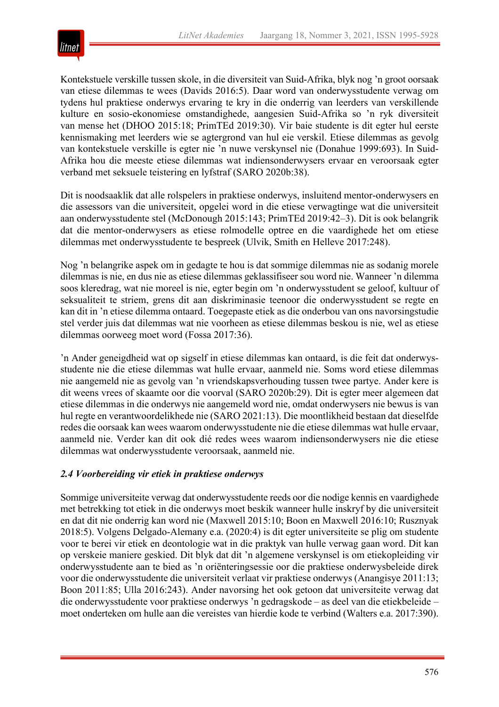

Kontekstuele verskille tussen skole, in die diversiteit van Suid-Afrika, blyk nog 'n groot oorsaak van etiese dilemmas te wees (Davids 2016:5). Daar word van onderwysstudente verwag om tydens hul praktiese onderwys ervaring te kry in die onderrig van leerders van verskillende kulture en sosio-ekonomiese omstandighede, aangesien Suid-Afrika so 'n ryk diversiteit van mense het (DHOO 2015:18; PrimTEd 2019:30). Vir baie studente is dit egter hul eerste kennismaking met leerders wie se agtergrond van hul eie verskil. Etiese dilemmas as gevolg van kontekstuele verskille is egter nie 'n nuwe verskynsel nie (Donahue 1999:693). In Suid-Afrika hou die meeste etiese dilemmas wat indiensonderwysers ervaar en veroorsaak egter verband met seksuele teistering en lyfstraf (SARO 2020b:38).

Dit is noodsaaklik dat alle rolspelers in praktiese onderwys, insluitend mentor-onderwysers en die assessors van die universiteit, opgelei word in die etiese verwagtinge wat die universiteit aan onderwysstudente stel (McDonough 2015:143; PrimTEd 2019:42–3). Dit is ook belangrik dat die mentor-onderwysers as etiese rolmodelle optree en die vaardighede het om etiese dilemmas met onderwysstudente te bespreek (Ulvik, Smith en Helleve 2017:248).

Nog 'n belangrike aspek om in gedagte te hou is dat sommige dilemmas nie as sodanig morele dilemmas is nie, en dus nie as etiese dilemmas geklassifiseer sou word nie. Wanneer 'n dilemma soos kleredrag, wat nie moreel is nie, egter begin om 'n onderwysstudent se geloof, kultuur of seksualiteit te striem, grens dit aan diskriminasie teenoor die onderwysstudent se regte en kan dit in 'n etiese dilemma ontaard. Toegepaste etiek as die onderbou van ons navorsingstudie stel verder juis dat dilemmas wat nie voorheen as etiese dilemmas beskou is nie, wel as etiese dilemmas oorweeg moet word (Fossa 2017:36).

'n Ander geneigdheid wat op sigself in etiese dilemmas kan ontaard, is die feit dat onderwysstudente nie die etiese dilemmas wat hulle ervaar, aanmeld nie. Soms word etiese dilemmas nie aangemeld nie as gevolg van 'n vriendskapsverhouding tussen twee partye. Ander kere is dit weens vrees of skaamte oor die voorval (SARO 2020b:29). Dit is egter meer algemeen dat etiese dilemmas in die onderwys nie aangemeld word nie, omdat onderwysers nie bewus is van hul regte en verantwoordelikhede nie (SARO 2021:13). Die moontlikheid bestaan dat dieselfde redes die oorsaak kan wees waarom onderwysstudente nie die etiese dilemmas wat hulle ervaar, aanmeld nie. Verder kan dit ook dié redes wees waarom indiensonderwysers nie die etiese dilemmas wat onderwysstudente veroorsaak, aanmeld nie.

# *2.4 Voorbereiding vir etiek in praktiese onderwys*

Sommige universiteite verwag dat onderwysstudente reeds oor die nodige kennis en vaardighede met betrekking tot etiek in die onderwys moet beskik wanneer hulle inskryf by die universiteit en dat dit nie onderrig kan word nie (Maxwell 2015:10; Boon en Maxwell 2016:10; Rusznyak 2018:5). Volgens Delgado-Alemany e.a. (2020:4) is dit egter universiteite se plig om studente voor te berei vir etiek en deontologie wat in die praktyk van hulle verwag gaan word. Dit kan op verskeie maniere geskied. Dit blyk dat dit 'n algemene verskynsel is om etiekopleiding vir onderwysstudente aan te bied as 'n oriënteringsessie oor die praktiese onderwysbeleide direk voor die onderwysstudente die universiteit verlaat vir praktiese onderwys (Anangisye 2011:13; Boon 2011:85; Ulla 2016:243). Ander navorsing het ook getoon dat universiteite verwag dat die onderwysstudente voor praktiese onderwys 'n gedragskode – as deel van die etiekbeleide – moet onderteken om hulle aan die vereistes van hierdie kode te verbind (Walters e.a. 2017:390).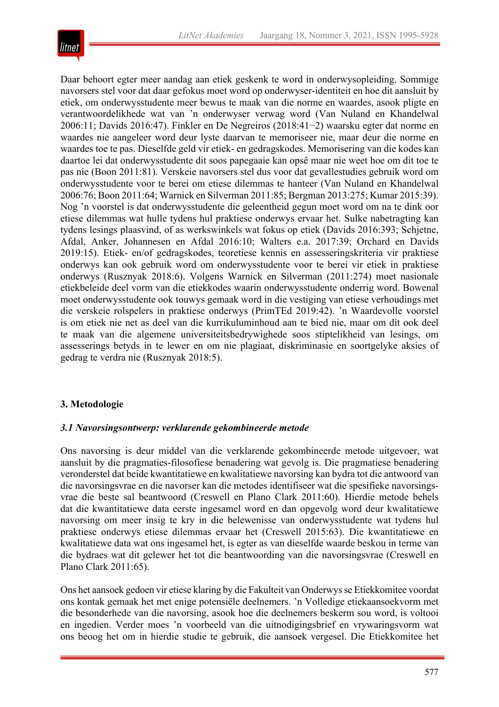

Daar behoort egter meer aandag aan etiek geskenk te word in onderwysopleiding. Sommige navorsers stel voor dat daar gefokus moet word op onderwyser-identiteit en hoe dit aansluit by etiek, om onderwysstudente meer bewus te maak van die norme en waardes, asook pligte en verantwoordelikhede wat van 'n onderwyser verwag word (Van Nuland en Khandelwal 2006:11; Davids 2016:47). Finkler en De Negreiros (2018:41−2) waarsku egter dat norme en waardes nie aangeleer word deur lyste daarvan te memoriseer nie, maar deur die norme en waardes toe te pas. Dieselfde geld vir etiek- en gedragskodes. Memorisering van die kodes kan daartoe lei dat onderwysstudente dit soos papegaaie kan opsê maar nie weet hoe om dit toe te pas nie (Boon 2011:81). Verskeie navorsers stel dus voor dat gevallestudies gebruik word om onderwysstudente voor te berei om etiese dilemmas te hanteer (Van Nuland en Khandelwal 2006:76; Boon 2011:64; Warnick en Silverman 2011:85; Bergman 2013:275; Kumar 2015:39). Nog 'n voorstel is dat onderwysstudente die geleentheid gegun moet word om na te dink oor etiese dilemmas wat hulle tydens hul praktiese onderwys ervaar het. Sulke nabetragting kan tydens lesings plaasvind, of as werkswinkels wat fokus op etiek (Davids 2016:393; Schjetne, Afdal, Anker, Johannesen en Afdal 2016:10; Walters e.a. 2017:39; Orchard en Davids 2019:15). Etiek- en/of gedragskodes, teoretiese kennis en assesseringskriteria vir praktiese onderwys kan ook gebruik word om onderwysstudente voor te berei vir etiek in praktiese onderwys (Rusznyak 2018:6). Volgens Warnick en Silverman (2011:274) moet nasionale etiekbeleide deel vorm van die etiekkodes waarin onderwysstudente onderrig word. Bowenal moet onderwysstudente ook touwys gemaak word in die vestiging van etiese verhoudings met die verskeie rolspelers in praktiese onderwys (PrimTEd 2019:42). 'n Waardevolle voorstel is om etiek nie net as deel van die kurrikuluminhoud aan te bied nie, maar om dit ook deel te maak van die algemene universiteitsbedrywighede soos stiptelikheid van lesings, om assesserings betyds in te lewer en om nie plagiaat, diskriminasie en soortgelyke aksies of gedrag te verdra nie (Rusznyak 2018:5).

# **3. Metodologie**

#### *3.1 Navorsingsontwerp: verklarende gekombineerde metode*

Ons navorsing is deur middel van die verklarende gekombineerde metode uitgevoer, wat aansluit by die pragmaties-filosofiese benadering wat gevolg is. Die pragmatiese benadering veronderstel dat beide kwantitatiewe en kwalitatiewe navorsing kan bydra tot die antwoord van die navorsingsvrae en die navorser kan die metodes identifiseer wat die spesifieke navorsingsvrae die beste sal beantwoord (Creswell en Plano Clark 2011:60). Hierdie metode behels dat die kwantitatiewe data eerste ingesamel word en dan opgevolg word deur kwalitatiewe navorsing om meer insig te kry in die belewenisse van onderwysstudente wat tydens hul praktiese onderwys etiese dilemmas ervaar het (Creswell 2015:63). Die kwantitatiewe en kwalitatiewe data wat ons ingesamel het, is egter as van dieselfde waarde beskou in terme van die bydraes wat dit gelewer het tot die beantwoording van die navorsingsvrae (Creswell en Plano Clark 2011:65).

Ons het aansoek gedoen vir etiese klaring by die Fakulteit van Onderwys se Etiekkomitee voordat ons kontak gemaak het met enige potensiële deelnemers. 'n Volledige etiekaansoekvorm met die besonderhede van die navorsing, asook hoe die deelnemers beskerm sou word, is voltooi en ingedien. Verder moes 'n voorbeeld van die uitnodigingsbrief en vrywaringsvorm wat ons beoog het om in hierdie studie te gebruik, die aansoek vergesel. Die Etiekkomitee het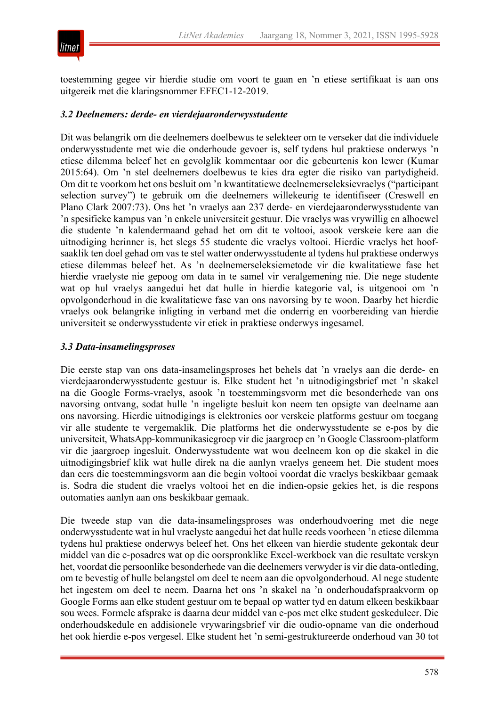

toestemming gegee vir hierdie studie om voort te gaan en 'n etiese sertifikaat is aan ons uitgereik met die klaringsnommer EFEC1-12-2019.

#### *3.2 Deelnemers: derde- en vierdejaaronderwysstudente*

Dit was belangrik om die deelnemers doelbewus te selekteer om te verseker dat die individuele onderwysstudente met wie die onderhoude gevoer is, self tydens hul praktiese onderwys 'n etiese dilemma beleef het en gevolglik kommentaar oor die gebeurtenis kon lewer (Kumar 2015:64). Om 'n stel deelnemers doelbewus te kies dra egter die risiko van partydigheid. Om dit te voorkom het ons besluit om 'n kwantitatiewe deelnemerseleksievraelys ("participant selection survey") te gebruik om die deelnemers willekeurig te identifiseer (Creswell en Plano Clark 2007:73). Ons het 'n vraelys aan 237 derde- en vierdejaaronderwysstudente van 'n spesifieke kampus van 'n enkele universiteit gestuur. Die vraelys was vrywillig en alhoewel die studente 'n kalendermaand gehad het om dit te voltooi, asook verskeie kere aan die uitnodiging herinner is, het slegs 55 studente die vraelys voltooi. Hierdie vraelys het hoofsaaklik ten doel gehad om vas te stel watter onderwysstudente al tydens hul praktiese onderwys etiese dilemmas beleef het. As 'n deelnemerseleksiemetode vir die kwalitatiewe fase het hierdie vraelyste nie gepoog om data in te samel vir veralgemening nie. Die nege studente wat op hul vraelys aangedui het dat hulle in hierdie kategorie val, is uitgenooi om 'n opvolgonderhoud in die kwalitatiewe fase van ons navorsing by te woon. Daarby het hierdie vraelys ook belangrike inligting in verband met die onderrig en voorbereiding van hierdie universiteit se onderwysstudente vir etiek in praktiese onderwys ingesamel.

#### *3.3 Data-insamelingsproses*

Die eerste stap van ons data-insamelingsproses het behels dat 'n vraelys aan die derde- en vierdejaaronderwysstudente gestuur is. Elke student het 'n uitnodigingsbrief met 'n skakel na die Google Forms-vraelys, asook 'n toestemmingsvorm met die besonderhede van ons navorsing ontvang, sodat hulle 'n ingeligte besluit kon neem ten opsigte van deelname aan ons navorsing. Hierdie uitnodigings is elektronies oor verskeie platforms gestuur om toegang vir alle studente te vergemaklik. Die platforms het die onderwysstudente se e-pos by die universiteit, WhatsApp-kommunikasiegroep vir die jaargroep en 'n Google Classroom-platform vir die jaargroep ingesluit. Onderwysstudente wat wou deelneem kon op die skakel in die uitnodigingsbrief klik wat hulle direk na die aanlyn vraelys geneem het. Die student moes dan eers die toestemmingsvorm aan die begin voltooi voordat die vraelys beskikbaar gemaak is. Sodra die student die vraelys voltooi het en die indien-opsie gekies het, is die respons outomaties aanlyn aan ons beskikbaar gemaak.

Die tweede stap van die data-insamelingsproses was onderhoudvoering met die nege onderwysstudente wat in hul vraelyste aangedui het dat hulle reeds voorheen 'n etiese dilemma tydens hul praktiese onderwys beleef het. Ons het elkeen van hierdie studente gekontak deur middel van die e-posadres wat op die oorspronklike Excel-werkboek van die resultate verskyn het, voordat die persoonlike besonderhede van die deelnemers verwyder is vir die data-ontleding, om te bevestig of hulle belangstel om deel te neem aan die opvolgonderhoud. Al nege studente het ingestem om deel te neem. Daarna het ons 'n skakel na 'n onderhoudafspraakvorm op Google Forms aan elke student gestuur om te bepaal op watter tyd en datum elkeen beskikbaar sou wees. Formele afsprake is daarna deur middel van e-pos met elke student geskeduleer. Die onderhoudskedule en addisionele vrywaringsbrief vir die oudio-opname van die onderhoud het ook hierdie e-pos vergesel. Elke student het 'n semi-gestruktureerde onderhoud van 30 tot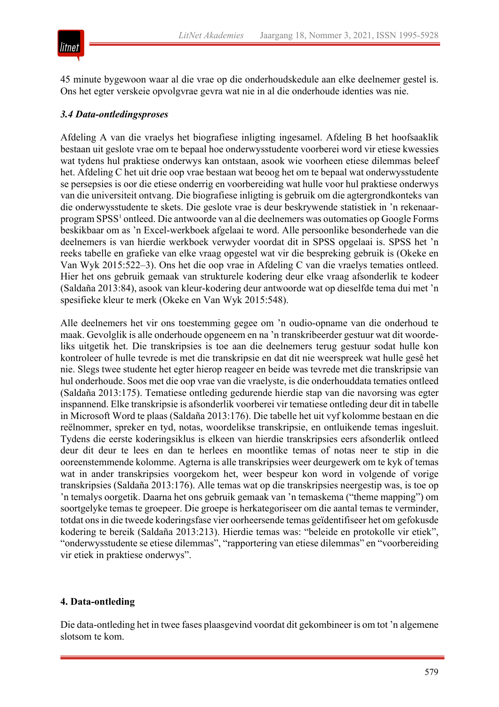



45 minute bygewoon waar al die vrae op die onderhoudskedule aan elke deelnemer gestel is. Ons het egter verskeie opvolgvrae gevra wat nie in al die onderhoude identies was nie.

# *3.4 Data-ontledingsproses*

Afdeling A van die vraelys het biografiese inligting ingesamel. Afdeling B het hoofsaaklik bestaan uit geslote vrae om te bepaal hoe onderwysstudente voorberei word vir etiese kwessies wat tydens hul praktiese onderwys kan ontstaan, asook wie voorheen etiese dilemmas beleef het. Afdeling C het uit drie oop vrae bestaan wat beoog het om te bepaal wat onderwysstudente se persepsies is oor die etiese onderrig en voorbereiding wat hulle voor hul praktiese onderwys van die universiteit ontvang. Die biografiese inligting is gebruik om die agtergrondkonteks van die onderwysstudente te skets. Die geslote vrae is deur beskrywende statistiek in 'n rekenaarprogram SPSS1 ontleed. Die antwoorde van al die deelnemers was outomaties op Google Forms beskikbaar om as 'n Excel-werkboek afgelaai te word. Alle persoonlike besonderhede van die deelnemers is van hierdie werkboek verwyder voordat dit in SPSS opgelaai is. SPSS het 'n reeks tabelle en grafieke van elke vraag opgestel wat vir die bespreking gebruik is (Okeke en Van Wyk 2015:522–3). Ons het die oop vrae in Afdeling C van die vraelys tematies ontleed. Hier het ons gebruik gemaak van strukturele kodering deur elke vraag afsonderlik te kodeer (Saldaña 2013:84), asook van kleur-kodering deur antwoorde wat op dieselfde tema dui met 'n spesifieke kleur te merk (Okeke en Van Wyk 2015:548).

Alle deelnemers het vir ons toestemming gegee om 'n oudio-opname van die onderhoud te maak. Gevolglik is alle onderhoude opgeneem en na 'n transkribeerder gestuur wat dit woordeliks uitgetik het. Die transkripsies is toe aan die deelnemers terug gestuur sodat hulle kon kontroleer of hulle tevrede is met die transkripsie en dat dit nie weerspreek wat hulle gesê het nie. Slegs twee studente het egter hierop reageer en beide was tevrede met die transkripsie van hul onderhoude. Soos met die oop vrae van die vraelyste, is die onderhouddata tematies ontleed (Saldaña 2013:175). Tematiese ontleding gedurende hierdie stap van die navorsing was egter inspannend. Elke transkripsie is afsonderlik voorberei vir tematiese ontleding deur dit in tabelle in Microsoft Word te plaas (Saldaña 2013:176). Die tabelle het uit vyf kolomme bestaan en die reëlnommer, spreker en tyd, notas, woordelikse transkripsie, en ontluikende temas ingesluit. Tydens die eerste koderingsiklus is elkeen van hierdie transkripsies eers afsonderlik ontleed deur dit deur te lees en dan te herlees en moontlike temas of notas neer te stip in die ooreenstemmende kolomme. Agterna is alle transkripsies weer deurgewerk om te kyk of temas wat in ander transkripsies voorgekom het, weer bespeur kon word in volgende of vorige transkripsies (Saldaña 2013:176). Alle temas wat op die transkripsies neergestip was, is toe op 'n temalys oorgetik. Daarna het ons gebruik gemaak van 'n temaskema ("theme mapping") om soortgelyke temas te groepeer. Die groepe is herkategoriseer om die aantal temas te verminder, totdat ons in die tweede koderingsfase vier oorheersende temas geïdentifiseer het om gefokusde kodering te bereik (Saldaña 2013:213). Hierdie temas was: "beleide en protokolle vir etiek", "onderwysstudente se etiese dilemmas", "rapportering van etiese dilemmas" en "voorbereiding vir etiek in praktiese onderwys".

#### **4. Data-ontleding**

Die data-ontleding het in twee fases plaasgevind voordat dit gekombineer is om tot 'n algemene slotsom te kom.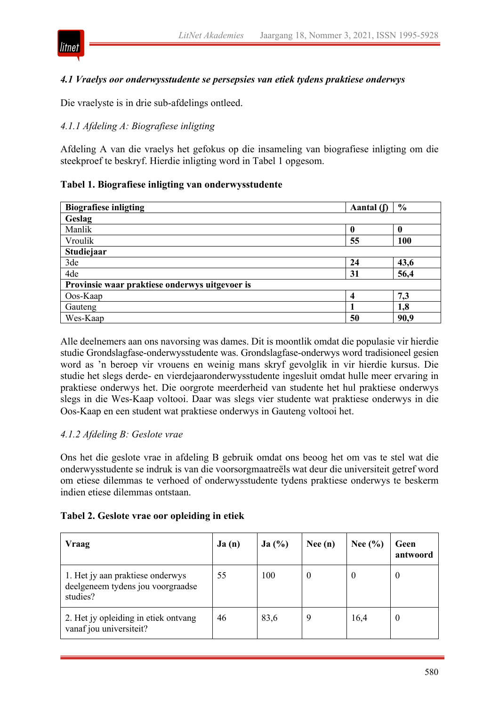

# *4.1 Vraelys oor onderwysstudente se persepsies van etiek tydens praktiese onderwys*

Die vraelyste is in drie sub-afdelings ontleed.

# *4.1.1 Afdeling A: Biografiese inligting*

Afdeling A van die vraelys het gefokus op die insameling van biografiese inligting om die steekproef te beskryf. Hierdie inligting word in Tabel 1 opgesom.

#### **Tabel 1. Biografiese inligting van onderwysstudente**

| <b>Biografiese inligting</b>                   | Aantal $(f)$ | $\frac{0}{0}$ |  |  |  |
|------------------------------------------------|--------------|---------------|--|--|--|
| Geslag                                         |              |               |  |  |  |
| Manlik                                         | 0            | 0             |  |  |  |
| Vroulik                                        | 55           | 100           |  |  |  |
| Studiejaar                                     |              |               |  |  |  |
| 3de                                            | 24           | 43,6          |  |  |  |
| 4de                                            | 31           | 56,4          |  |  |  |
| Provinsie waar praktiese onderwys uitgevoer is |              |               |  |  |  |
| Oos-Kaap                                       | 4            | 7,3           |  |  |  |
| Gauteng                                        |              | 1,8           |  |  |  |
| Wes-Kaap                                       | 50           | 90,9          |  |  |  |

Alle deelnemers aan ons navorsing was dames. Dit is moontlik omdat die populasie vir hierdie studie Grondslagfase-onderwysstudente was. Grondslagfase-onderwys word tradisioneel gesien word as 'n beroep vir vrouens en weinig mans skryf gevolglik in vir hierdie kursus. Die studie het slegs derde- en vierdejaaronderwysstudente ingesluit omdat hulle meer ervaring in praktiese onderwys het. Die oorgrote meerderheid van studente het hul praktiese onderwys slegs in die Wes-Kaap voltooi. Daar was slegs vier studente wat praktiese onderwys in die Oos-Kaap en een student wat praktiese onderwys in Gauteng voltooi het.

#### *4.1.2 Afdeling B: Geslote vrae*

Ons het die geslote vrae in afdeling B gebruik omdat ons beoog het om vas te stel wat die onderwysstudente se indruk is van die voorsorgmaatreëls wat deur die universiteit getref word om etiese dilemmas te verhoed of onderwysstudente tydens praktiese onderwys te beskerm indien etiese dilemmas ontstaan.

#### **Tabel 2. Geslote vrae oor opleiding in etiek**

| <b>Vraag</b>                                                                      | Ja(n) | Ja(%) | Nee $(n)$ | Nee $(\% )$ | Geen<br>antwoord |
|-----------------------------------------------------------------------------------|-------|-------|-----------|-------------|------------------|
| 1. Het jy aan praktiese onderwys<br>deelgeneem tydens jou voorgraadse<br>studies? | 55    | 100   | U         |             | U                |
| 2. Het jy opleiding in etiek ontvang<br>vanaf jou universiteit?                   | 46    | 83,6  | q         | 16,4        | U                |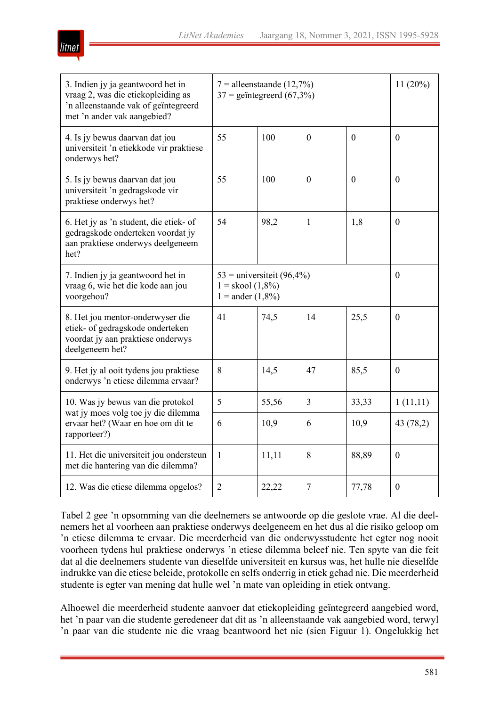| IITN. |
|-------|

| 3. Indien jy ja geantwoord het in<br>vraag 2, was die etiekopleiding as<br>'n alleenstaande vak of geïntegreerd<br>met 'n ander vak aangebied? | $7 =$ alleenstaande (12,7%)<br>$37$ = geïntegreerd (67,3%)                          |                  |              |              | 11(20%)          |
|------------------------------------------------------------------------------------------------------------------------------------------------|-------------------------------------------------------------------------------------|------------------|--------------|--------------|------------------|
| 4. Is jy bewus daarvan dat jou<br>universiteit 'n etiekkode vir praktiese<br>onderwys het?                                                     | 55                                                                                  | 100              | $\mathbf{0}$ | $\mathbf{0}$ | $\theta$         |
| 5. Is jy bewus daarvan dat jou<br>universiteit 'n gedragskode vir<br>praktiese onderwys het?                                                   | 55                                                                                  | 100              | $\Omega$     | $\Omega$     | $\theta$         |
| 6. Het jy as 'n student, die etiek- of<br>gedragskode onderteken voordat jy<br>aan praktiese onderwys deelgeneem<br>het?                       | 54                                                                                  | 98,2             | 1            | 1,8          | $\boldsymbol{0}$ |
| 7. Indien jy ja geantwoord het in<br>vraag 6, wie het die kode aan jou<br>voorgehou?                                                           | $53$ = universiteit (96,4%)<br>$1 =$ skool $(1,8\%)$<br>$1 = \text{ander } (1,8\%)$ | $\boldsymbol{0}$ |              |              |                  |
| 8. Het jou mentor-onderwyser die<br>etiek- of gedragskode onderteken<br>voordat jy aan praktiese onderwys<br>deelgeneem het?                   | 41                                                                                  | 74,5             | 14           | 25,5         | $\boldsymbol{0}$ |
| 9. Het jy al ooit tydens jou praktiese<br>onderwys 'n etiese dilemma ervaar?                                                                   | 8                                                                                   | 14,5             | 47           | 85,5         | $\boldsymbol{0}$ |
| 10. Was jy bewus van die protokol<br>wat jy moes volg toe jy die dilemma<br>ervaar het? (Waar en hoe om dit te<br>rapporteer?)                 | 5                                                                                   | 55,56            | 3            | 33,33        | 1(11,11)         |
|                                                                                                                                                | 6                                                                                   | 10,9             | 6            | 10,9         | 43 (78,2)        |
| 11. Het die universiteit jou ondersteun<br>met die hantering van die dilemma?                                                                  | 1                                                                                   | 11,11            | 8            | 88,89        | $\boldsymbol{0}$ |
| 12. Was die etiese dilemma opgelos?                                                                                                            | $\overline{2}$                                                                      | 22,22            | 7            | 77,78        | $\boldsymbol{0}$ |

Tabel 2 gee 'n opsomming van die deelnemers se antwoorde op die geslote vrae. Al die deelnemers het al voorheen aan praktiese onderwys deelgeneem en het dus al die risiko geloop om 'n etiese dilemma te ervaar. Die meerderheid van die onderwysstudente het egter nog nooit voorheen tydens hul praktiese onderwys 'n etiese dilemma beleef nie. Ten spyte van die feit dat al die deelnemers studente van dieselfde universiteit en kursus was, het hulle nie dieselfde indrukke van die etiese beleide, protokolle en selfs onderrig in etiek gehad nie. Die meerderheid studente is egter van mening dat hulle wel 'n mate van opleiding in etiek ontvang.

Alhoewel die meerderheid studente aanvoer dat etiekopleiding geïntegreerd aangebied word, het 'n paar van die studente geredeneer dat dit as 'n alleenstaande vak aangebied word, terwyl 'n paar van die studente nie die vraag beantwoord het nie (sien Figuur 1). Ongelukkig het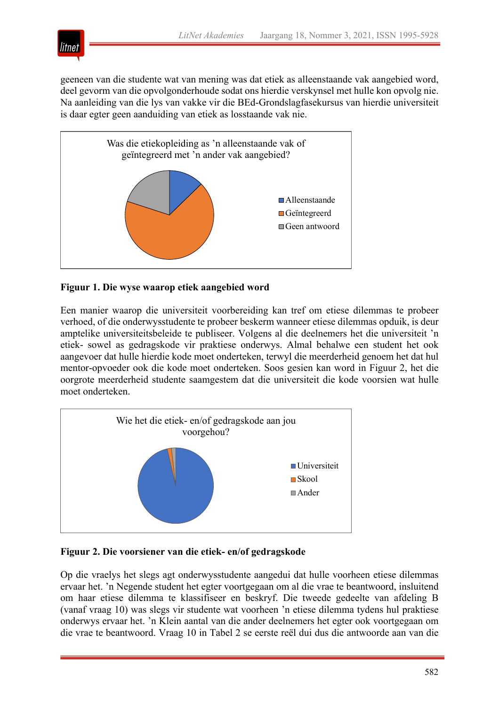

geeneen van die studente wat van mening was dat etiek as alleenstaande vak aangebied word, deel gevorm van die opvolgonderhoude sodat ons hierdie verskynsel met hulle kon opvolg nie. Na aanleiding van die lys van vakke vir die BEd-Grondslagfasekursus van hierdie universiteit is daar egter geen aanduiding van etiek as losstaande vak nie.



# **Figuur 1. Die wyse waarop etiek aangebied word**

Een manier waarop die universiteit voorbereiding kan tref om etiese dilemmas te probeer verhoed, of die onderwysstudente te probeer beskerm wanneer etiese dilemmas opduik, is deur amptelike universiteitsbeleide te publiseer. Volgens al die deelnemers het die universiteit 'n etiek- sowel as gedragskode vir praktiese onderwys. Almal behalwe een student het ook aangevoer dat hulle hierdie kode moet onderteken, terwyl die meerderheid genoem het dat hul mentor-opvoeder ook die kode moet onderteken. Soos gesien kan word in Figuur 2, het die oorgrote meerderheid studente saamgestem dat die universiteit die kode voorsien wat hulle moet onderteken.



# **Figuur 2. Die voorsiener van die etiek- en/of gedragskode**

Op die vraelys het slegs agt onderwysstudente aangedui dat hulle voorheen etiese dilemmas ervaar het. 'n Negende student het egter voortgegaan om al die vrae te beantwoord, insluitend om haar etiese dilemma te klassifiseer en beskryf. Die tweede gedeelte van afdeling B (vanaf vraag 10) was slegs vir studente wat voorheen 'n etiese dilemma tydens hul praktiese onderwys ervaar het. 'n Klein aantal van die ander deelnemers het egter ook voortgegaan om die vrae te beantwoord. Vraag 10 in Tabel 2 se eerste reël dui dus die antwoorde aan van die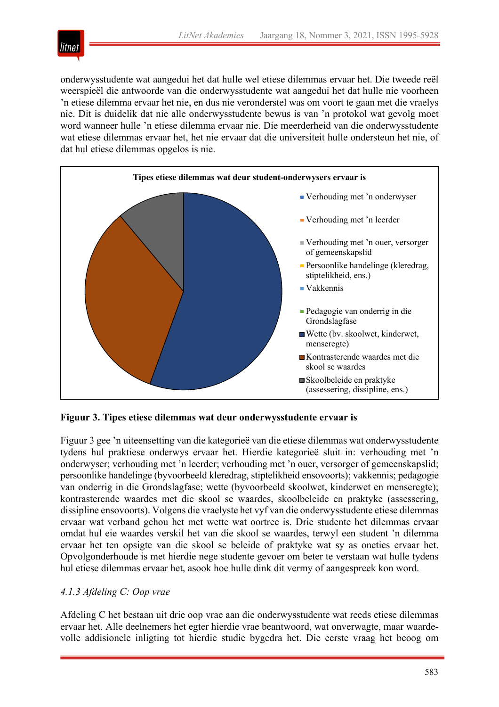

onderwysstudente wat aangedui het dat hulle wel etiese dilemmas ervaar het. Die tweede reël weerspieël die antwoorde van die onderwysstudente wat aangedui het dat hulle nie voorheen 'n etiese dilemma ervaar het nie, en dus nie veronderstel was om voort te gaan met die vraelys nie. Dit is duidelik dat nie alle onderwysstudente bewus is van 'n protokol wat gevolg moet word wanneer hulle 'n etiese dilemma ervaar nie. Die meerderheid van die onderwysstudente wat etiese dilemmas ervaar het, het nie ervaar dat die universiteit hulle ondersteun het nie, of dat hul etiese dilemmas opgelos is nie.



# **Figuur 3. Tipes etiese dilemmas wat deur onderwysstudente ervaar is**

Figuur 3 gee 'n uiteensetting van die kategorieë van die etiese dilemmas wat onderwysstudente tydens hul praktiese onderwys ervaar het. Hierdie kategorieë sluit in: verhouding met 'n onderwyser; verhouding met 'n leerder; verhouding met 'n ouer, versorger of gemeenskapslid; persoonlike handelinge (byvoorbeeld kleredrag, stiptelikheid ensovoorts); vakkennis; pedagogie van onderrig in die Grondslagfase; wette (byvoorbeeld skoolwet, kinderwet en menseregte); kontrasterende waardes met die skool se waardes, skoolbeleide en praktyke (assessering, dissipline ensovoorts). Volgens die vraelyste het vyf van die onderwysstudente etiese dilemmas ervaar wat verband gehou het met wette wat oortree is. Drie studente het dilemmas ervaar omdat hul eie waardes verskil het van die skool se waardes, terwyl een student 'n dilemma ervaar het ten opsigte van die skool se beleide of praktyke wat sy as oneties ervaar het. Opvolgonderhoude is met hierdie nege studente gevoer om beter te verstaan wat hulle tydens hul etiese dilemmas ervaar het, asook hoe hulle dink dit vermy of aangespreek kon word.

# *4.1.3 Afdeling C: Oop vrae*

Afdeling C het bestaan uit drie oop vrae aan die onderwysstudente wat reeds etiese dilemmas ervaar het. Alle deelnemers het egter hierdie vrae beantwoord, wat onverwagte, maar waardevolle addisionele inligting tot hierdie studie bygedra het. Die eerste vraag het beoog om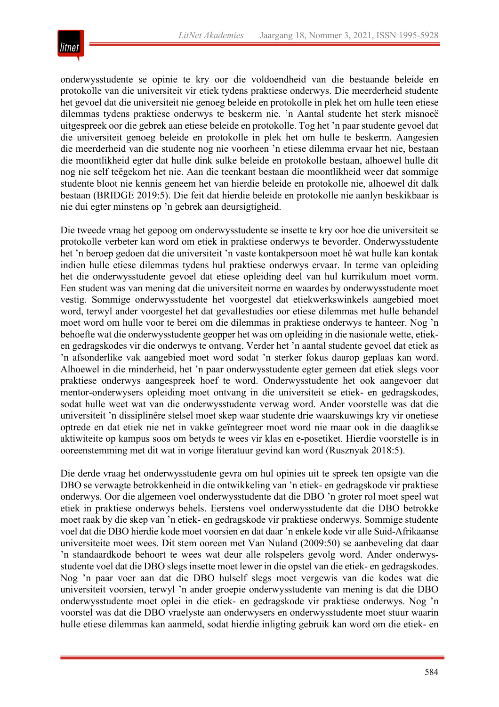

onderwysstudente se opinie te kry oor die voldoendheid van die bestaande beleide en protokolle van die universiteit vir etiek tydens praktiese onderwys. Die meerderheid studente het gevoel dat die universiteit nie genoeg beleide en protokolle in plek het om hulle teen etiese dilemmas tydens praktiese onderwys te beskerm nie. 'n Aantal studente het sterk misnoeë uitgespreek oor die gebrek aan etiese beleide en protokolle. Tog het 'n paar studente gevoel dat die universiteit genoeg beleide en protokolle in plek het om hulle te beskerm. Aangesien die meerderheid van die studente nog nie voorheen 'n etiese dilemma ervaar het nie, bestaan die moontlikheid egter dat hulle dink sulke beleide en protokolle bestaan, alhoewel hulle dit nog nie self teëgekom het nie. Aan die teenkant bestaan die moontlikheid weer dat sommige studente bloot nie kennis geneem het van hierdie beleide en protokolle nie, alhoewel dit dalk bestaan (BRIDGE 2019:5). Die feit dat hierdie beleide en protokolle nie aanlyn beskikbaar is nie dui egter minstens op 'n gebrek aan deursigtigheid.

Die tweede vraag het gepoog om onderwysstudente se insette te kry oor hoe die universiteit se protokolle verbeter kan word om etiek in praktiese onderwys te bevorder. Onderwysstudente het 'n beroep gedoen dat die universiteit 'n vaste kontakpersoon moet hê wat hulle kan kontak indien hulle etiese dilemmas tydens hul praktiese onderwys ervaar. In terme van opleiding het die onderwysstudente gevoel dat etiese opleiding deel van hul kurrikulum moet vorm. Een student was van mening dat die universiteit norme en waardes by onderwysstudente moet vestig. Sommige onderwysstudente het voorgestel dat etiekwerkswinkels aangebied moet word, terwyl ander voorgestel het dat gevallestudies oor etiese dilemmas met hulle behandel moet word om hulle voor te berei om die dilemmas in praktiese onderwys te hanteer. Nog 'n behoefte wat die onderwysstudente geopper het was om opleiding in die nasionale wette, etieken gedragskodes vir die onderwys te ontvang. Verder het 'n aantal studente gevoel dat etiek as 'n afsonderlike vak aangebied moet word sodat 'n sterker fokus daarop geplaas kan word. Alhoewel in die minderheid, het 'n paar onderwysstudente egter gemeen dat etiek slegs voor praktiese onderwys aangespreek hoef te word. Onderwysstudente het ook aangevoer dat mentor-onderwysers opleiding moet ontvang in die universiteit se etiek- en gedragskodes, sodat hulle weet wat van die onderwysstudente verwag word. Ander voorstelle was dat die universiteit 'n dissiplinêre stelsel moet skep waar studente drie waarskuwings kry vir onetiese optrede en dat etiek nie net in vakke geïntegreer moet word nie maar ook in die daaglikse aktiwiteite op kampus soos om betyds te wees vir klas en e-posetiket. Hierdie voorstelle is in ooreenstemming met dit wat in vorige literatuur gevind kan word (Rusznyak 2018:5).

Die derde vraag het onderwysstudente gevra om hul opinies uit te spreek ten opsigte van die DBO se verwagte betrokkenheid in die ontwikkeling van 'n etiek- en gedragskode vir praktiese onderwys. Oor die algemeen voel onderwysstudente dat die DBO 'n groter rol moet speel wat etiek in praktiese onderwys behels. Eerstens voel onderwysstudente dat die DBO betrokke moet raak by die skep van 'n etiek- en gedragskode vir praktiese onderwys. Sommige studente voel dat die DBO hierdie kode moet voorsien en dat daar 'n enkele kode vir alle Suid-Afrikaanse universiteite moet wees. Dit stem ooreen met Van Nuland (2009:50) se aanbeveling dat daar 'n standaardkode behoort te wees wat deur alle rolspelers gevolg word. Ander onderwysstudente voel dat die DBO slegs insette moet lewer in die opstel van die etiek- en gedragskodes. Nog 'n paar voer aan dat die DBO hulself slegs moet vergewis van die kodes wat die universiteit voorsien, terwyl 'n ander groepie onderwysstudente van mening is dat die DBO onderwysstudente moet oplei in die etiek- en gedragskode vir praktiese onderwys. Nog 'n voorstel was dat die DBO vraelyste aan onderwysers en onderwysstudente moet stuur waarin hulle etiese dilemmas kan aanmeld, sodat hierdie inligting gebruik kan word om die etiek- en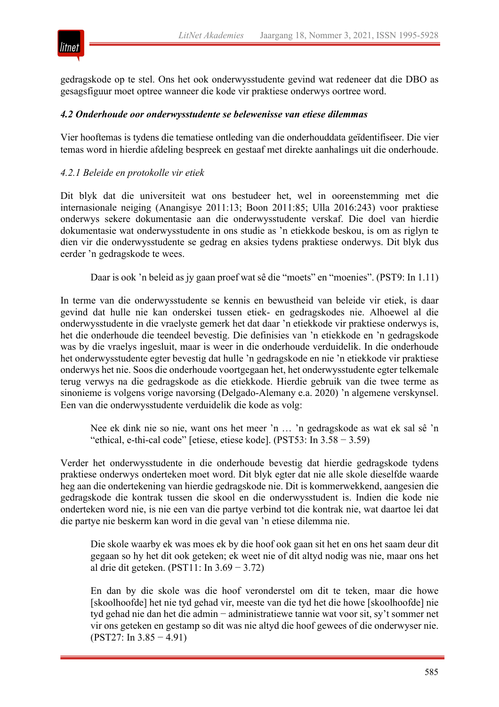

gedragskode op te stel. Ons het ook onderwysstudente gevind wat redeneer dat die DBO as gesagsfiguur moet optree wanneer die kode vir praktiese onderwys oortree word.

#### *4.2 Onderhoude oor onderwysstudente se belewenisse van etiese dilemmas*

Vier hooftemas is tydens die tematiese ontleding van die onderhouddata geïdentifiseer. Die vier temas word in hierdie afdeling bespreek en gestaaf met direkte aanhalings uit die onderhoude.

#### *4.2.1 Beleide en protokolle vir etiek*

Dit blyk dat die universiteit wat ons bestudeer het, wel in ooreenstemming met die internasionale neiging (Anangisye 2011:13; Boon 2011:85; Ulla 2016:243) voor praktiese onderwys sekere dokumentasie aan die onderwysstudente verskaf. Die doel van hierdie dokumentasie wat onderwysstudente in ons studie as 'n etiekkode beskou, is om as riglyn te dien vir die onderwysstudente se gedrag en aksies tydens praktiese onderwys. Dit blyk dus eerder 'n gedragskode te wees.

Daar is ook 'n beleid as jy gaan proef wat sê die "moets" en "moenies". (PST9: In 1.11)

In terme van die onderwysstudente se kennis en bewustheid van beleide vir etiek, is daar gevind dat hulle nie kan onderskei tussen etiek- en gedragskodes nie. Alhoewel al die onderwysstudente in die vraelyste gemerk het dat daar 'n etiekkode vir praktiese onderwys is, het die onderhoude die teendeel bevestig. Die definisies van 'n etiekkode en 'n gedragskode was by die vraelys ingesluit, maar is weer in die onderhoude verduidelik. In die onderhoude het onderwysstudente egter bevestig dat hulle 'n gedragskode en nie 'n etiekkode vir praktiese onderwys het nie. Soos die onderhoude voortgegaan het, het onderwysstudente egter telkemale terug verwys na die gedragskode as die etiekkode. Hierdie gebruik van die twee terme as sinonieme is volgens vorige navorsing (Delgado-Alemany e.a. 2020) 'n algemene verskynsel. Een van die onderwysstudente verduidelik die kode as volg:

Nee ek dink nie so nie, want ons het meer 'n … 'n gedragskode as wat ek sal sê 'n "ethical, e-thi-cal code" [etiese, etiese kode]. (PST53: In 3.58 − 3.59)

Verder het onderwysstudente in die onderhoude bevestig dat hierdie gedragskode tydens praktiese onderwys onderteken moet word. Dit blyk egter dat nie alle skole dieselfde waarde heg aan die ondertekening van hierdie gedragskode nie. Dit is kommerwekkend, aangesien die gedragskode die kontrak tussen die skool en die onderwysstudent is. Indien die kode nie onderteken word nie, is nie een van die partye verbind tot die kontrak nie, wat daartoe lei dat die partye nie beskerm kan word in die geval van 'n etiese dilemma nie.

Die skole waarby ek was moes ek by die hoof ook gaan sit het en ons het saam deur dit gegaan so hy het dit ook geteken; ek weet nie of dit altyd nodig was nie, maar ons het al drie dit geteken. (PST11: In 3.69 − 3.72)

En dan by die skole was die hoof veronderstel om dit te teken, maar die howe [skoolhoofde] het nie tyd gehad vir, meeste van die tyd het die howe [skoolhoofde] nie tyd gehad nie dan het die admin − administratiewe tannie wat voor sit, sy't sommer net vir ons geteken en gestamp so dit was nie altyd die hoof gewees of die onderwyser nie. (PST27: In 3.85 − 4.91)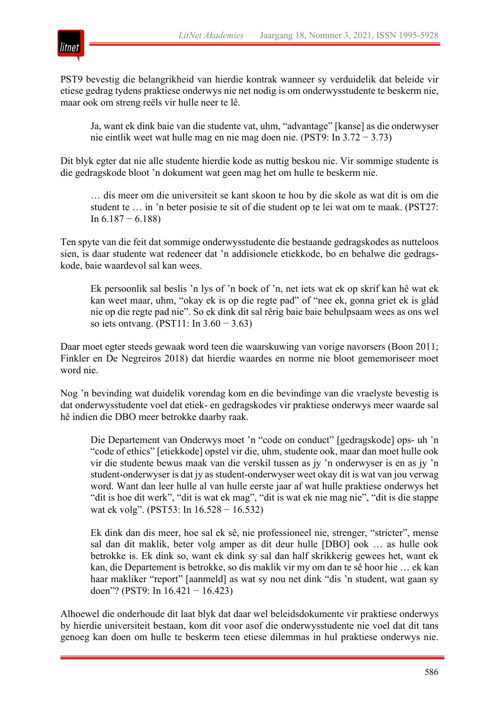

PST9 bevestig die belangrikheid van hierdie kontrak wanneer sy verduidelik dat beleide vir etiese gedrag tydens praktiese onderwys nie net nodig is om onderwysstudente te beskerm nie, maar ook om streng reëls vir hulle neer te lê.

Ja, want ek dink baie van die studente vat, uhm, "advantage" [kanse] as die onderwyser nie eintlik weet wat hulle mag en nie mag doen nie. (PST9: In 3.72 − 3.73)

Dit blyk egter dat nie alle studente hierdie kode as nuttig beskou nie. Vir sommige studente is die gedragskode bloot 'n dokument wat geen mag het om hulle te beskerm nie.

… dis meer om die universiteit se kant skoon te hou by die skole as wat dit is om die student te … in 'n beter posisie te sit of die student op te lei wat om te maak. (PST27: In  $6.187 - 6.188$ 

Ten spyte van die feit dat sommige onderwysstudente die bestaande gedragskodes as nutteloos sien, is daar studente wat redeneer dat 'n addisionele etiekkode, bo en behalwe die gedragskode, baie waardevol sal kan wees.

Ek persoonlik sal beslis 'n lys of 'n boek of 'n, net iets wat ek op skrif kan hê wat ek kan weet maar, uhm, "okay ek is op die regte pad" of "nee ek, gonna griet ek is glád nie op die regte pad nie". So ek dink dit sal rêrig baie baie behulpsaam wees as ons wel so iets ontvang. (PST11: In 3.60 − 3.63)

Daar moet egter steeds gewaak word teen die waarskuwing van vorige navorsers (Boon 2011; Finkler en De Negreiros 2018) dat hierdie waardes en norme nie bloot gememoriseer moet word nie.

Nog 'n bevinding wat duidelik vorendag kom en die bevindinge van die vraelyste bevestig is dat onderwysstudente voel dat etiek- en gedragskodes vir praktiese onderwys meer waarde sal hê indien die DBO meer betrokke daarby raak.

Die Departement van Onderwys moet 'n "code on conduct" [gedragskode] ops- uh 'n "code of ethics" [etiekkode] opstel vir die, uhm, studente ook, maar dan moet hulle ook vir die studente bewus maak van die verskil tussen as jy 'n onderwyser is en as jy 'n student-onderwyser is dat jy as student-onderwyser weet okay dit is wat van jou verwag word. Want dan leer hulle al van hulle eerste jaar af wat hulle praktiese onderwys het "dit is hoe dit werk", "dit is wat ek mag", "dit is wat ek nie mag nie", "dit is die stappe wat ek volg". (PST53: In 16.528 − 16.532)

Ek dink dan dis meer, hoe sal ek sê, nie professioneel nie, strenger, "stricter", mense sal dan dit maklik, beter volg amper as dit deur hulle [DBO] ook … as hulle ook betrokke is. Ek dink so, want ek dink sy sal dan half skrikkerig gewees het, want ek kan, die Departement is betrokke, so dis maklik vir my om dan te sê hoor hie … ek kan haar makliker "report" [aanmeld] as wat sy nou net dink "dis 'n student, wat gaan sy doen"? (PST9: In 16.421 − 16.423)

Alhoewel die onderhoude dit laat blyk dat daar wel beleidsdokumente vir praktiese onderwys by hierdie universiteit bestaan, kom dit voor asof die onderwysstudente nie voel dat dit tans genoeg kan doen om hulle te beskerm teen etiese dilemmas in hul praktiese onderwys nie.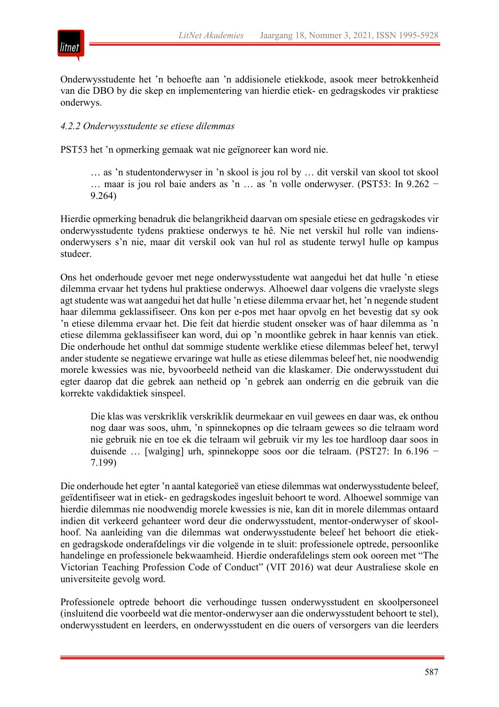



Onderwysstudente het 'n behoefte aan 'n addisionele etiekkode, asook meer betrokkenheid van die DBO by die skep en implementering van hierdie etiek- en gedragskodes vir praktiese onderwys.

# *4.2.2 Onderwysstudente se etiese dilemmas*

PST53 het 'n opmerking gemaak wat nie geïgnoreer kan word nie.

… as 'n studentonderwyser in 'n skool is jou rol by … dit verskil van skool tot skool … maar is jou rol baie anders as 'n … as 'n volle onderwyser. (PST53: In 9.262 − 9.264)

Hierdie opmerking benadruk die belangrikheid daarvan om spesiale etiese en gedragskodes vir onderwysstudente tydens praktiese onderwys te hê. Nie net verskil hul rolle van indiensonderwysers s'n nie, maar dit verskil ook van hul rol as studente terwyl hulle op kampus studeer.

Ons het onderhoude gevoer met nege onderwysstudente wat aangedui het dat hulle 'n etiese dilemma ervaar het tydens hul praktiese onderwys. Alhoewel daar volgens die vraelyste slegs agt studente was wat aangedui het dat hulle 'n etiese dilemma ervaar het, het 'n negende student haar dilemma geklassifiseer. Ons kon per e-pos met haar opvolg en het bevestig dat sy ook 'n etiese dilemma ervaar het. Die feit dat hierdie student onseker was of haar dilemma as 'n etiese dilemma geklassifiseer kan word, dui op 'n moontlike gebrek in haar kennis van etiek. Die onderhoude het onthul dat sommige studente werklike etiese dilemmas beleef het, terwyl ander studente se negatiewe ervaringe wat hulle as etiese dilemmas beleef het, nie noodwendig morele kwessies was nie, byvoorbeeld netheid van die klaskamer. Die onderwysstudent dui egter daarop dat die gebrek aan netheid op 'n gebrek aan onderrig en die gebruik van die korrekte vakdidaktiek sinspeel.

Die klas was verskriklik verskriklik deurmekaar en vuil gewees en daar was, ek onthou nog daar was soos, uhm, 'n spinnekopnes op die telraam gewees so die telraam word nie gebruik nie en toe ek die telraam wil gebruik vir my les toe hardloop daar soos in duisende … [walging] urh, spinnekoppe soos oor die telraam. (PST27: In 6.196 − 7.199)

Die onderhoude het egter 'n aantal kategorieë van etiese dilemmas wat onderwysstudente beleef, geïdentifiseer wat in etiek- en gedragskodes ingesluit behoort te word. Alhoewel sommige van hierdie dilemmas nie noodwendig morele kwessies is nie, kan dit in morele dilemmas ontaard indien dit verkeerd gehanteer word deur die onderwysstudent, mentor-onderwyser of skoolhoof. Na aanleiding van die dilemmas wat onderwysstudente beleef het behoort die etieken gedragskode onderafdelings vir die volgende in te sluit: professionele optrede, persoonlike handelinge en professionele bekwaamheid. Hierdie onderafdelings stem ook ooreen met "The Victorian Teaching Profession Code of Conduct" (VIT 2016) wat deur Australiese skole en universiteite gevolg word.

Professionele optrede behoort die verhoudinge tussen onderwysstudent en skoolpersoneel (insluitend die voorbeeld wat die mentor-onderwyser aan die onderwysstudent behoort te stel), onderwysstudent en leerders, en onderwysstudent en die ouers of versorgers van die leerders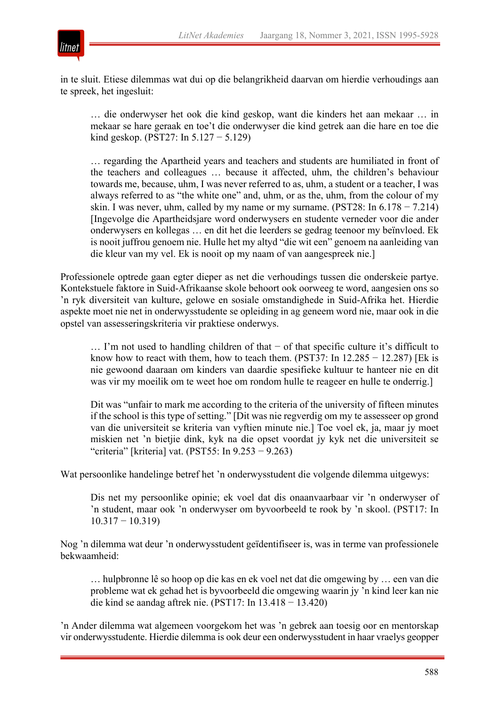

in te sluit. Etiese dilemmas wat dui op die belangrikheid daarvan om hierdie verhoudings aan te spreek, het ingesluit:

… die onderwyser het ook die kind geskop, want die kinders het aan mekaar … in mekaar se hare geraak en toe't die onderwyser die kind getrek aan die hare en toe die kind geskop. (PST27: In 5.127 − 5.129)

… regarding the Apartheid years and teachers and students are humiliated in front of the teachers and colleagues … because it affected, uhm, the children's behaviour towards me, because, uhm, I was never referred to as, uhm, a student or a teacher, I was always referred to as "the white one" and, uhm, or as the, uhm, from the colour of my skin. I was never, uhm, called by my name or my surname. (PST28: In  $6.178 - 7.214$ ) [Ingevolge die Apartheidsjare word onderwysers en studente verneder voor die ander onderwysers en kollegas … en dit het die leerders se gedrag teenoor my beïnvloed. Ek is nooit juffrou genoem nie. Hulle het my altyd "die wit een" genoem na aanleiding van die kleur van my vel. Ek is nooit op my naam of van aangespreek nie.]

Professionele optrede gaan egter dieper as net die verhoudings tussen die onderskeie partye. Kontekstuele faktore in Suid-Afrikaanse skole behoort ook oorweeg te word, aangesien ons so 'n ryk diversiteit van kulture, gelowe en sosiale omstandighede in Suid-Afrika het. Hierdie aspekte moet nie net in onderwysstudente se opleiding in ag geneem word nie, maar ook in die opstel van assesseringskriteria vir praktiese onderwys.

… I'm not used to handling children of that  $−$  of that specific culture it's difficult to know how to react with them, how to teach them. (PST37: In  $12.285 - 12.287$ ) [Ek is nie gewoond daaraan om kinders van daardie spesifieke kultuur te hanteer nie en dit was vir my moeilik om te weet hoe om rondom hulle te reageer en hulle te onderrig.]

Dit was "unfair to mark me according to the criteria of the university of fifteen minutes if the school is this type of setting." [Dit was nie regverdig om my te assesseer op grond van die universiteit se kriteria van vyftien minute nie.] Toe voel ek, ja, maar jy moet miskien net 'n bietjie dink, kyk na die opset voordat jy kyk net die universiteit se "criteria" [kriteria] vat. (PST55: In 9.253 − 9.263)

Wat persoonlike handelinge betref het 'n onderwysstudent die volgende dilemma uitgewys:

Dis net my persoonlike opinie; ek voel dat dis onaanvaarbaar vir 'n onderwyser of 'n student, maar ook 'n onderwyser om byvoorbeeld te rook by 'n skool. (PST17: In 10.317 − 10.319)

Nog 'n dilemma wat deur 'n onderwysstudent geïdentifiseer is, was in terme van professionele bekwaamheid:

… hulpbronne lê so hoop op die kas en ek voel net dat die omgewing by … een van die probleme wat ek gehad het is byvoorbeeld die omgewing waarin jy 'n kind leer kan nie die kind se aandag aftrek nie. (PST17: In 13.418 − 13.420)

'n Ander dilemma wat algemeen voorgekom het was 'n gebrek aan toesig oor en mentorskap vir onderwysstudente. Hierdie dilemma is ook deur een onderwysstudent in haar vraelys geopper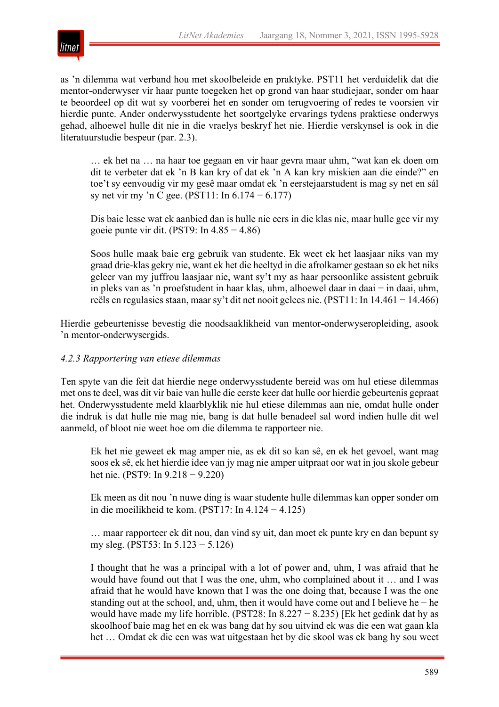

as 'n dilemma wat verband hou met skoolbeleide en praktyke. PST11 het verduidelik dat die mentor-onderwyser vir haar punte toegeken het op grond van haar studiejaar, sonder om haar te beoordeel op dit wat sy voorberei het en sonder om terugvoering of redes te voorsien vir hierdie punte. Ander onderwysstudente het soortgelyke ervarings tydens praktiese onderwys gehad, alhoewel hulle dit nie in die vraelys beskryf het nie. Hierdie verskynsel is ook in die literatuurstudie bespeur (par. 2.3).

… ek het na … na haar toe gegaan en vir haar gevra maar uhm, "wat kan ek doen om dit te verbeter dat ek 'n B kan kry of dat ek 'n A kan kry miskien aan die einde?" en toe't sy eenvoudig vir my gesê maar omdat ek 'n eerstejaarstudent is mag sy net en sál sy net vir my 'n C gee. (PST11: In 6.174 − 6.177)

Dis baie lesse wat ek aanbied dan is hulle nie eers in die klas nie, maar hulle gee vir my goeie punte vir dit. (PST9: In  $4.85 - 4.86$ )

Soos hulle maak baie erg gebruik van studente. Ek weet ek het laasjaar niks van my graad drie-klas gekry nie, want ek het die heeltyd in die afrolkamer gestaan so ek het niks geleer van my juffrou laasjaar nie, want sy't my as haar persoonlike assistent gebruik in pleks van as 'n proefstudent in haar klas, uhm, alhoewel daar in daai − in daai, uhm, reёls en regulasies staan, maar sy't dit net nooit gelees nie. (PST11: In 14.461 − 14.466)

Hierdie gebeurtenisse bevestig die noodsaaklikheid van mentor-onderwyseropleiding, asook 'n mentor-onderwysergids.

# *4.2.3 Rapportering van etiese dilemmas*

Ten spyte van die feit dat hierdie nege onderwysstudente bereid was om hul etiese dilemmas met ons te deel, was dit vir baie van hulle die eerste keer dat hulle oor hierdie gebeurtenis gepraat het. Onderwysstudente meld klaarblyklik nie hul etiese dilemmas aan nie, omdat hulle onder die indruk is dat hulle nie mag nie, bang is dat hulle benadeel sal word indien hulle dit wel aanmeld, of bloot nie weet hoe om die dilemma te rapporteer nie.

Ek het nie geweet ek mag amper nie, as ek dit so kan sê, en ek het gevoel, want mag soos ek sê, ek het hierdie idee van jy mag nie amper uitpraat oor wat in jou skole gebeur het nie. (PST9: In 9.218 − 9.220)

Ek meen as dit nou 'n nuwe ding is waar studente hulle dilemmas kan opper sonder om in die moeilikheid te kom. (PST17: In 4.124 − 4.125)

… maar rapporteer ek dit nou, dan vind sy uit, dan moet ek punte kry en dan bepunt sy my sleg. (PST53: In 5.123 − 5.126)

I thought that he was a principal with a lot of power and, uhm, I was afraid that he would have found out that I was the one, uhm, who complained about it … and I was afraid that he would have known that I was the one doing that, because I was the one standing out at the school, and, uhm, then it would have come out and I believe he − he would have made my life horrible. (PST28: In  $8.227 - 8.235$ ) [Ek het gedink dat hy as skoolhoof baie mag het en ek was bang dat hy sou uitvind ek was die een wat gaan kla het … Omdat ek die een was wat uitgestaan het by die skool was ek bang hy sou weet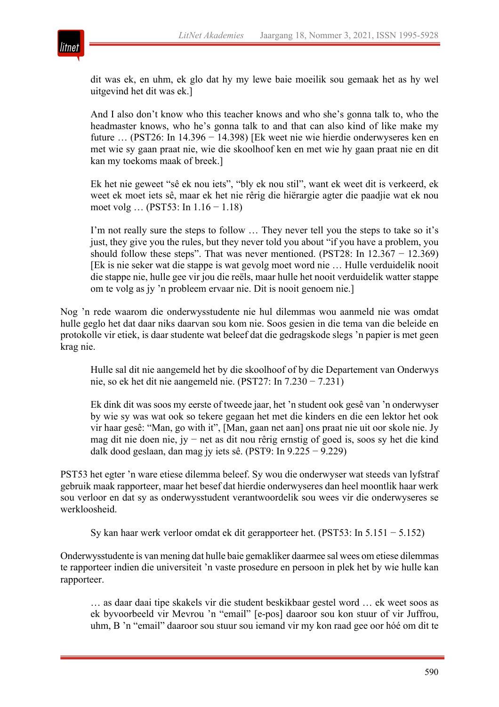

dit was ek, en uhm, ek glo dat hy my lewe baie moeilik sou gemaak het as hy wel uitgevind het dit was ek.]

And I also don't know who this teacher knows and who she's gonna talk to, who the headmaster knows, who he's gonna talk to and that can also kind of like make my future … (PST26: In 14.396 − 14.398) [Ek weet nie wie hierdie onderwyseres ken en met wie sy gaan praat nie, wie die skoolhoof ken en met wie hy gaan praat nie en dit kan my toekoms maak of breek.]

Ek het nie geweet "sê ek nou iets", "bly ek nou stil", want ek weet dit is verkeerd, ek weet ek moet iets sê, maar ek het nie rêrig die hiërargie agter die paadjie wat ek nou moet volg … (PST53: In 1.16 − 1.18)

I'm not really sure the steps to follow … They never tell you the steps to take so it's just, they give you the rules, but they never told you about "if you have a problem, you should follow these steps". That was never mentioned. (PST28: In  $12.367 - 12.369$ ) [Ek is nie seker wat die stappe is wat gevolg moet word nie … Hulle verduidelik nooit die stappe nie, hulle gee vir jou die reëls, maar hulle het nooit verduidelik watter stappe om te volg as jy 'n probleem ervaar nie. Dit is nooit genoem nie.]

Nog 'n rede waarom die onderwysstudente nie hul dilemmas wou aanmeld nie was omdat hulle geglo het dat daar niks daarvan sou kom nie. Soos gesien in die tema van die beleide en protokolle vir etiek, is daar studente wat beleef dat die gedragskode slegs 'n papier is met geen krag nie.

Hulle sal dit nie aangemeld het by die skoolhoof of by die Departement van Onderwys nie, so ek het dit nie aangemeld nie. (PST27: In 7.230 − 7.231)

Ek dink dit was soos my eerste of tweede jaar, het 'n student ook gesê van 'n onderwyser by wie sy was wat ook so tekere gegaan het met die kinders en die een lektor het ook vir haar gesê: "Man, go with it", [Man, gaan net aan] ons praat nie uit oor skole nie. Jy mag dit nie doen nie, jy − net as dit nou rêrig ernstig of goed is, soos sy het die kind dalk dood geslaan, dan mag jy iets sê. (PST9: In 9.225 − 9.229)

PST53 het egter 'n ware etiese dilemma beleef. Sy wou die onderwyser wat steeds van lyfstraf gebruik maak rapporteer, maar het besef dat hierdie onderwyseres dan heel moontlik haar werk sou verloor en dat sy as onderwysstudent verantwoordelik sou wees vir die onderwyseres se werkloosheid.

Sy kan haar werk verloor omdat ek dit gerapporteer het. (PST53: In 5.151 − 5.152)

Onderwysstudente is van mening dat hulle baie gemakliker daarmee sal wees om etiese dilemmas te rapporteer indien die universiteit 'n vaste prosedure en persoon in plek het by wie hulle kan rapporteer.

… as daar daai tipe skakels vir die student beskikbaar gestel word … ek weet soos as ek byvoorbeeld vir Mevrou 'n "email" [e-pos] daaroor sou kon stuur of vir Juffrou, uhm, B 'n "email" daaroor sou stuur sou iemand vir my kon raad gee oor hóé om dit te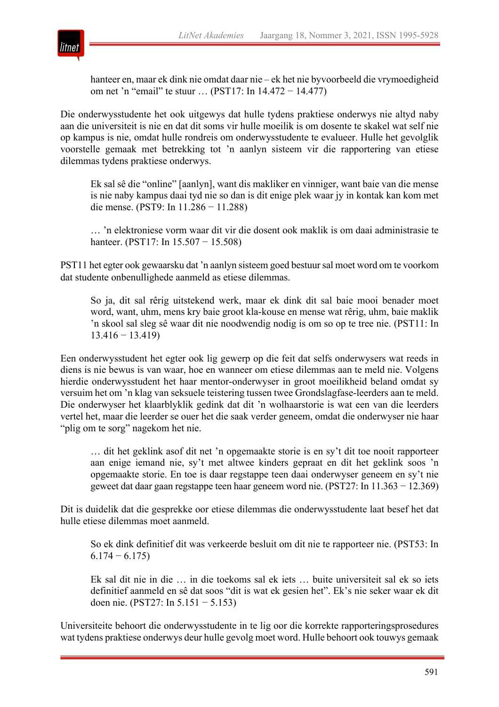

hanteer en, maar ek dink nie omdat daar nie – ek het nie byvoorbeeld die vrymoedigheid om net 'n "email" te stuur … (PST17: In 14.472 − 14.477)

Die onderwysstudente het ook uitgewys dat hulle tydens praktiese onderwys nie altyd naby aan die universiteit is nie en dat dit soms vir hulle moeilik is om dosente te skakel wat self nie op kampus is nie, omdat hulle rondreis om onderwysstudente te evalueer. Hulle het gevolglik voorstelle gemaak met betrekking tot 'n aanlyn sisteem vir die rapportering van etiese dilemmas tydens praktiese onderwys.

Ek sal sê die "online" [aanlyn], want dis makliker en vinniger, want baie van die mense is nie naby kampus daai tyd nie so dan is dit enige plek waar jy in kontak kan kom met die mense. (PST9: In 11.286 − 11.288)

… 'n elektroniese vorm waar dit vir die dosent ook maklik is om daai administrasie te hanteer. (PST17: In 15.507 − 15.508)

PST11 het egter ook gewaarsku dat 'n aanlyn sisteem goed bestuur sal moet word om te voorkom dat studente onbenullighede aanmeld as etiese dilemmas.

So ja, dit sal rêrig uitstekend werk, maar ek dink dit sal baie mooi benader moet word, want, uhm, mens kry baie groot kla-kouse en mense wat rêrig, uhm, baie maklik 'n skool sal sleg sê waar dit nie noodwendig nodig is om so op te tree nie. (PST11: In 13.416 − 13.419)

Een onderwysstudent het egter ook lig gewerp op die feit dat selfs onderwysers wat reeds in diens is nie bewus is van waar, hoe en wanneer om etiese dilemmas aan te meld nie. Volgens hierdie onderwysstudent het haar mentor-onderwyser in groot moeilikheid beland omdat sy versuim het om 'n klag van seksuele teistering tussen twee Grondslagfase-leerders aan te meld. Die onderwyser het klaarblyklik gedink dat dit 'n wolhaarstorie is wat een van die leerders vertel het, maar die leerder se ouer het die saak verder geneem, omdat die onderwyser nie haar "plig om te sorg" nagekom het nie.

… dit het geklink asof dit net 'n opgemaakte storie is en sy't dit toe nooit rapporteer aan enige iemand nie, sy't met altwee kinders gepraat en dit het geklink soos 'n opgemaakte storie. En toe is daar regstappe teen daai onderwyser geneem en sy't nie geweet dat daar gaan regstappe teen haar geneem word nie. (PST27: In 11.363 − 12.369)

Dit is duidelik dat die gesprekke oor etiese dilemmas die onderwysstudente laat besef het dat hulle etiese dilemmas moet aanmeld.

So ek dink definitief dit was verkeerde besluit om dit nie te rapporteer nie. (PST53: In  $6.174 - 6.175$ 

Ek sal dit nie in die … in die toekoms sal ek iets … buite universiteit sal ek so iets definitief aanmeld en sê dat soos "dit is wat ek gesien het". Ek's nie seker waar ek dit doen nie. (PST27: In 5.151 − 5.153)

Universiteite behoort die onderwysstudente in te lig oor die korrekte rapporteringsprosedures wat tydens praktiese onderwys deur hulle gevolg moet word. Hulle behoort ook touwys gemaak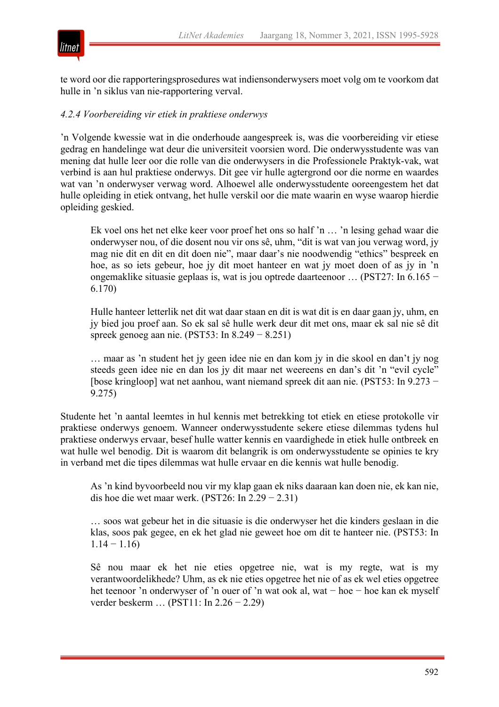



te word oor die rapporteringsprosedures wat indiensonderwysers moet volg om te voorkom dat hulle in 'n siklus van nie-rapportering verval.

#### *4.2.4 Voorbereiding vir etiek in praktiese onderwys*

'n Volgende kwessie wat in die onderhoude aangespreek is, was die voorbereiding vir etiese gedrag en handelinge wat deur die universiteit voorsien word. Die onderwysstudente was van mening dat hulle leer oor die rolle van die onderwysers in die Professionele Praktyk-vak, wat verbind is aan hul praktiese onderwys. Dit gee vir hulle agtergrond oor die norme en waardes wat van 'n onderwyser verwag word. Alhoewel alle onderwysstudente ooreengestem het dat hulle opleiding in etiek ontvang, het hulle verskil oor die mate waarin en wyse waarop hierdie opleiding geskied.

Ek voel ons het net elke keer voor proef het ons so half 'n … 'n lesing gehad waar die onderwyser nou, of die dosent nou vir ons sê, uhm, "dit is wat van jou verwag word, jy mag nie dit en dit en dit doen nie", maar daar's nie noodwendig "ethics" bespreek en hoe, as so iets gebeur, hoe jy dit moet hanteer en wat jy moet doen of as jy in 'n ongemaklike situasie geplaas is, wat is jou optrede daarteenoor … (PST27: In 6.165 − 6.170)

Hulle hanteer letterlik net dit wat daar staan en dit is wat dit is en daar gaan jy, uhm, en jy bied jou proef aan. So ek sal sê hulle werk deur dit met ons, maar ek sal nie sê dit spreek genoeg aan nie. (PST53: In 8.249 − 8.251)

… maar as 'n student het jy geen idee nie en dan kom jy in die skool en dan't jy nog steeds geen idee nie en dan los jy dit maar net weereens en dan's dit 'n "evil cycle" [bose kringloop] wat net aanhou, want niemand spreek dit aan nie. (PST53: In 9.273 − 9.275)

Studente het 'n aantal leemtes in hul kennis met betrekking tot etiek en etiese protokolle vir praktiese onderwys genoem. Wanneer onderwysstudente sekere etiese dilemmas tydens hul praktiese onderwys ervaar, besef hulle watter kennis en vaardighede in etiek hulle ontbreek en wat hulle wel benodig. Dit is waarom dit belangrik is om onderwysstudente se opinies te kry in verband met die tipes dilemmas wat hulle ervaar en die kennis wat hulle benodig.

As 'n kind byvoorbeeld nou vir my klap gaan ek niks daaraan kan doen nie, ek kan nie, dis hoe die wet maar werk. (PST26: In  $2.29 - 2.31$ )

… soos wat gebeur het in die situasie is die onderwyser het die kinders geslaan in die klas, soos pak gegee, en ek het glad nie geweet hoe om dit te hanteer nie. (PST53: In  $1.14 - 1.16$ 

Sê nou maar ek het nie eties opgetree nie, wat is my regte, wat is my verantwoordelikhede? Uhm, as ek nie eties opgetree het nie of as ek wel eties opgetree het teenoor 'n onderwyser of 'n ouer of 'n wat ook al, wat − hoe − hoe kan ek myself verder beskerm … (PST11: In 2.26 − 2.29)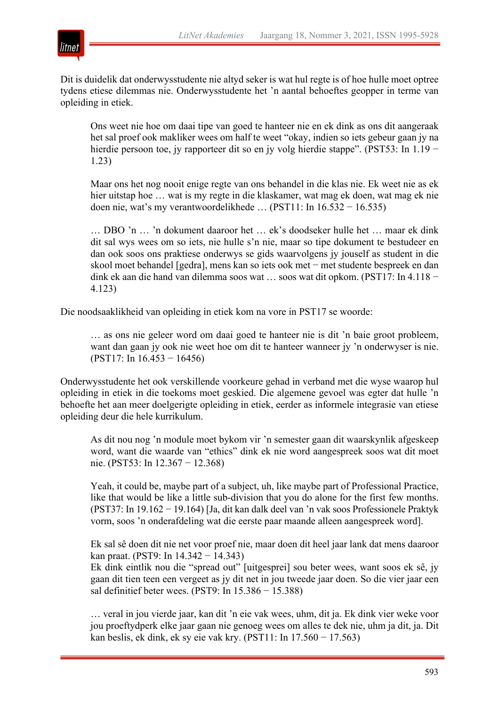

Dit is duidelik dat onderwysstudente nie altyd seker is wat hul regte is of hoe hulle moet optree tydens etiese dilemmas nie. Onderwysstudente het 'n aantal behoeftes geopper in terme van opleiding in etiek.

Ons weet nie hoe om daai tipe van goed te hanteer nie en ek dink as ons dit aangeraak het sal proef ook makliker wees om half te weet "okay, indien so iets gebeur gaan jy na hierdie persoon toe, jy rapporteer dit so en jy volg hierdie stappe". (PST53: In 1.19 − 1.23)

Maar ons het nog nooit enige regte van ons behandel in die klas nie. Ek weet nie as ek hier uitstap hoe … wat is my regte in die klaskamer, wat mag ek doen, wat mag ek nie doen nie, wat's my verantwoordelikhede … (PST11: In 16.532 − 16.535)

… DBO 'n … 'n dokument daaroor het … ek's doodseker hulle het … maar ek dink dit sal wys wees om so iets, nie hulle s'n nie, maar so tipe dokument te bestudeer en dan ook soos ons praktiese onderwys se gids waarvolgens jy jouself as student in die skool moet behandel [gedra], mens kan so iets ook met − met studente bespreek en dan dink ek aan die hand van dilemma soos wat … soos wat dit opkom. (PST17: In 4.118 − 4.123)

Die noodsaaklikheid van opleiding in etiek kom na vore in PST17 se woorde:

… as ons nie geleer word om daai goed te hanteer nie is dit 'n baie groot probleem, want dan gaan jy ook nie weet hoe om dit te hanteer wanneer jy 'n onderwyser is nie. (PST17: In 16.453 − 16456)

Onderwysstudente het ook verskillende voorkeure gehad in verband met die wyse waarop hul opleiding in etiek in die toekoms moet geskied. Die algemene gevoel was egter dat hulle 'n behoefte het aan meer doelgerigte opleiding in etiek, eerder as informele integrasie van etiese opleiding deur die hele kurrikulum.

As dit nou nog 'n module moet bykom vir 'n semester gaan dit waarskynlik afgeskeep word, want die waarde van "ethics" dink ek nie word aangespreek soos wat dit moet nie. (PST53: In 12.367 − 12.368)

Yeah, it could be, maybe part of a subject, uh, like maybe part of Professional Practice, like that would be like a little sub-division that you do alone for the first few months. (PST37: In 19.162 − 19.164) [Ja, dit kan dalk deel van 'n vak soos Professionele Praktyk vorm, soos 'n onderafdeling wat die eerste paar maande alleen aangespreek word].

Ek sal sê doen dit nie net voor proef nie, maar doen dit heel jaar lank dat mens daaroor kan praat. (PST9: In 14.342 − 14.343)

Ek dink eintlik nou die "spread out" [uitgesprei] sou beter wees, want soos ek sê, jy gaan dit tien teen een vergeet as jy dit net in jou tweede jaar doen. So die vier jaar een sal definitief beter wees. (PST9: In 15.386 − 15.388)

… veral in jou vierde jaar, kan dit 'n eie vak wees, uhm, dit ja. Ek dink vier weke voor jou proeftydperk elke jaar gaan nie genoeg wees om alles te dek nie, uhm ja dit, ja. Dit kan beslis, ek dink, ek sy eie vak kry. (PST11: In 17.560 − 17.563)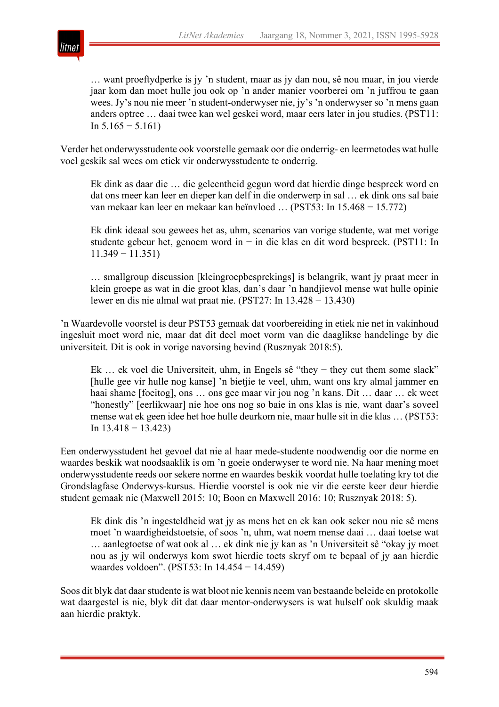

… want proeftydperke is jy 'n student, maar as jy dan nou, sê nou maar, in jou vierde jaar kom dan moet hulle jou ook op 'n ander manier voorberei om 'n juffrou te gaan wees. Jy's nou nie meer 'n student-onderwyser nie, jy's 'n onderwyser so 'n mens gaan anders optree … daai twee kan wel geskei word, maar eers later in jou studies. (PST11: In  $5.165 - 5.161$ 

Verder het onderwysstudente ook voorstelle gemaak oor die onderrig- en leermetodes wat hulle voel geskik sal wees om etiek vir onderwysstudente te onderrig.

Ek dink as daar die … die geleentheid gegun word dat hierdie dinge bespreek word en dat ons meer kan leer en dieper kan delf in die onderwerp in sal … ek dink ons sal baie van mekaar kan leer en mekaar kan beïnvloed … (PST53: In 15.468 − 15.772)

Ek dink ideaal sou gewees het as, uhm, scenarios van vorige studente, wat met vorige studente gebeur het, genoem word in − in die klas en dit word bespreek. (PST11: In 11.349 − 11.351)

… smallgroup discussion [kleingroepbesprekings] is belangrik, want jy praat meer in klein groepe as wat in die groot klas, dan's daar 'n handjievol mense wat hulle opinie lewer en dis nie almal wat praat nie. (PST27: In 13.428 − 13.430)

'n Waardevolle voorstel is deur PST53 gemaak dat voorbereiding in etiek nie net in vakinhoud ingesluit moet word nie, maar dat dit deel moet vorm van die daaglikse handelinge by die universiteit. Dit is ook in vorige navorsing bevind (Rusznyak 2018:5).

Ek … ek voel die Universiteit, uhm, in Engels sê "they − they cut them some slack" [hulle gee vir hulle nog kanse] 'n bietjie te veel, uhm, want ons kry almal jammer en haai shame [foeitog], ons … ons gee maar vir jou nog 'n kans. Dit … daar … ek weet "honestly" [eerlikwaar] nie hoe ons nog so baie in ons klas is nie, want daar's soveel mense wat ek geen idee het hoe hulle deurkom nie, maar hulle sit in die klas … (PST53: In  $13.418 - 13.423$ 

Een onderwysstudent het gevoel dat nie al haar mede-studente noodwendig oor die norme en waardes beskik wat noodsaaklik is om 'n goeie onderwyser te word nie. Na haar mening moet onderwysstudente reeds oor sekere norme en waardes beskik voordat hulle toelating kry tot die Grondslagfase Onderwys-kursus. Hierdie voorstel is ook nie vir die eerste keer deur hierdie student gemaak nie (Maxwell 2015: 10; Boon en Maxwell 2016: 10; Rusznyak 2018: 5).

Ek dink dis 'n ingesteldheid wat jy as mens het en ek kan ook seker nou nie sê mens moet 'n waardigheidstoetsie, of soos 'n, uhm, wat noem mense daai … daai toetse wat … aanlegtoetse of wat ook al … ek dink nie jy kan as 'n Universiteit sê "okay jy moet nou as jy wil onderwys kom swot hierdie toets skryf om te bepaal of jy aan hierdie waardes voldoen". (PST53: In 14.454 − 14.459)

Soos dit blyk dat daar studente is wat bloot nie kennis neem van bestaande beleide en protokolle wat daargestel is nie, blyk dit dat daar mentor-onderwysers is wat hulself ook skuldig maak aan hierdie praktyk.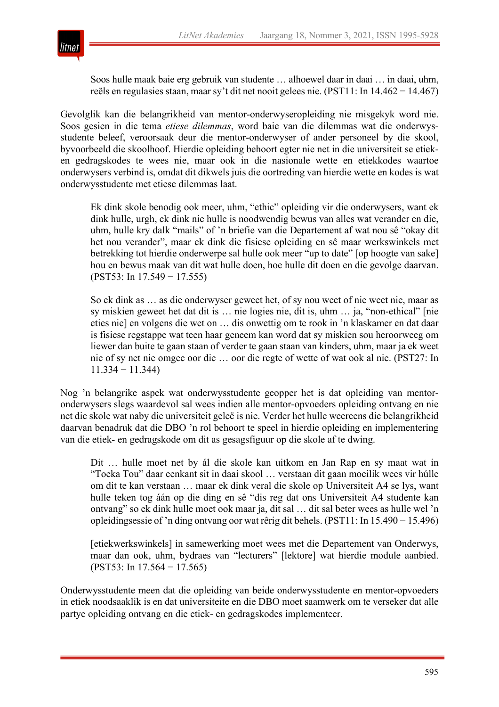

Soos hulle maak baie erg gebruik van studente … alhoewel daar in daai … in daai, uhm, reёls en regulasies staan, maar sy't dit net nooit gelees nie. (PST11: In 14.462 − 14.467)

Gevolglik kan die belangrikheid van mentor-onderwyseropleiding nie misgekyk word nie. Soos gesien in die tema *etiese dilemmas*, word baie van die dilemmas wat die onderwysstudente beleef, veroorsaak deur die mentor-onderwyser of ander personeel by die skool, byvoorbeeld die skoolhoof. Hierdie opleiding behoort egter nie net in die universiteit se etieken gedragskodes te wees nie, maar ook in die nasionale wette en etiekkodes waartoe onderwysers verbind is, omdat dit dikwels juis die oortreding van hierdie wette en kodes is wat onderwysstudente met etiese dilemmas laat.

Ek dink skole benodig ook meer, uhm, "ethic" opleiding vir die onderwysers, want ek dink hulle, urgh, ek dink nie hulle is noodwendig bewus van alles wat verander en die, uhm, hulle kry dalk "mails" of 'n briefie van die Departement af wat nou sê "okay dit het nou verander", maar ek dink die fisiese opleiding en sê maar werkswinkels met betrekking tot hierdie onderwerpe sal hulle ook meer "up to date" [op hoogte van sake] hou en bewus maak van dit wat hulle doen, hoe hulle dit doen en die gevolge daarvan. (PST53: In 17.549 − 17.555)

So ek dink as … as die onderwyser geweet het, of sy nou weet of nie weet nie, maar as sy miskien geweet het dat dit is … nie logies nie, dit is, uhm … ja, "non-ethical" [nie eties nie] en volgens die wet on … dis onwettig om te rook in 'n klaskamer en dat daar is fisiese regstappe wat teen haar geneem kan word dat sy miskien sou heroorweeg om liewer dan buite te gaan staan of verder te gaan staan van kinders, uhm, maar ja ek weet nie of sy net nie omgee oor die … oor die regte of wette of wat ook al nie. (PST27: In 11.334 − 11.344)

Nog 'n belangrike aspek wat onderwysstudente geopper het is dat opleiding van mentoronderwysers slegs waardevol sal wees indien alle mentor-opvoeders opleiding ontvang en nie net die skole wat naby die universiteit geleë is nie. Verder het hulle weereens die belangrikheid daarvan benadruk dat die DBO 'n rol behoort te speel in hierdie opleiding en implementering van die etiek- en gedragskode om dit as gesagsfiguur op die skole af te dwing.

Dit … hulle moet net by ál die skole kan uitkom en Jan Rap en sy maat wat in "Toeka Tou" daar eenkant sit in daai skool … verstaan dit gaan moeilik wees vir húlle om dit te kan verstaan … maar ek dink veral die skole op Universiteit A4 se lys, want hulle teken tog áán op die ding en sê "dis reg dat ons Universiteit A4 studente kan ontvang" so ek dink hulle moet ook maar ja, dit sal … dit sal beter wees as hulle wel 'n opleidingsessie of 'n ding ontvang oor wat rêrig dit behels. (PST11: In 15.490 − 15.496)

[etiekwerkswinkels] in samewerking moet wees met die Departement van Onderwys, maar dan ook, uhm, bydraes van "lecturers" [lektore] wat hierdie module aanbied. (PST53: In 17.564 − 17.565)

Onderwysstudente meen dat die opleiding van beide onderwysstudente en mentor-opvoeders in etiek noodsaaklik is en dat universiteite en die DBO moet saamwerk om te verseker dat alle partye opleiding ontvang en die etiek- en gedragskodes implementeer.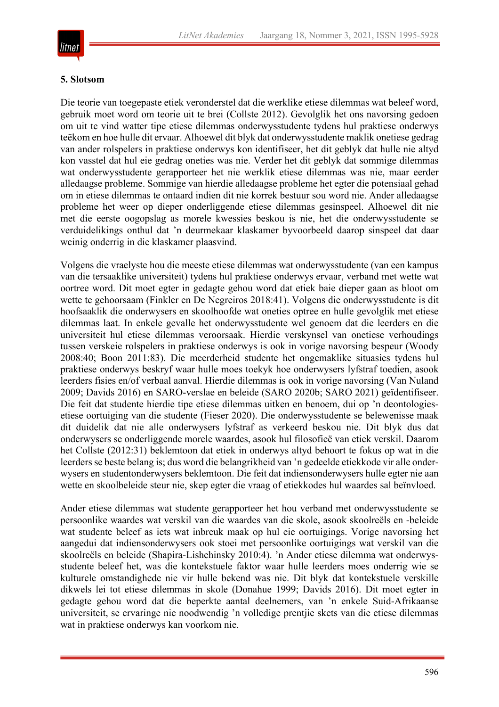

#### **5. Slotsom**

Die teorie van toegepaste etiek veronderstel dat die werklike etiese dilemmas wat beleef word, gebruik moet word om teorie uit te brei (Collste 2012). Gevolglik het ons navorsing gedoen om uit te vind watter tipe etiese dilemmas onderwysstudente tydens hul praktiese onderwys teëkom en hoe hulle dit ervaar. Alhoewel dit blyk dat onderwysstudente maklik onetiese gedrag van ander rolspelers in praktiese onderwys kon identifiseer, het dit geblyk dat hulle nie altyd kon vasstel dat hul eie gedrag oneties was nie. Verder het dit geblyk dat sommige dilemmas wat onderwysstudente gerapporteer het nie werklik etiese dilemmas was nie, maar eerder alledaagse probleme. Sommige van hierdie alledaagse probleme het egter die potensiaal gehad om in etiese dilemmas te ontaard indien dit nie korrek bestuur sou word nie. Ander alledaagse probleme het weer op dieper onderliggende etiese dilemmas gesinspeel. Alhoewel dit nie met die eerste oogopslag as morele kwessies beskou is nie, het die onderwysstudente se verduidelikings onthul dat 'n deurmekaar klaskamer byvoorbeeld daarop sinspeel dat daar weinig onderrig in die klaskamer plaasvind.

Volgens die vraelyste hou die meeste etiese dilemmas wat onderwysstudente (van een kampus van die tersaaklike universiteit) tydens hul praktiese onderwys ervaar, verband met wette wat oortree word. Dit moet egter in gedagte gehou word dat etiek baie dieper gaan as bloot om wette te gehoorsaam (Finkler en De Negreiros 2018:41). Volgens die onderwysstudente is dit hoofsaaklik die onderwysers en skoolhoofde wat oneties optree en hulle gevolglik met etiese dilemmas laat. In enkele gevalle het onderwysstudente wel genoem dat die leerders en die universiteit hul etiese dilemmas veroorsaak. Hierdie verskynsel van onetiese verhoudings tussen verskeie rolspelers in praktiese onderwys is ook in vorige navorsing bespeur (Woody 2008:40; Boon 2011:83). Die meerderheid studente het ongemaklike situasies tydens hul praktiese onderwys beskryf waar hulle moes toekyk hoe onderwysers lyfstraf toedien, asook leerders fisies en/of verbaal aanval. Hierdie dilemmas is ook in vorige navorsing (Van Nuland 2009; Davids 2016) en SARO-verslae en beleide (SARO 2020b; SARO 2021) geïdentifiseer. Die feit dat studente hierdie tipe etiese dilemmas uitken en benoem, dui op 'n deontologiesetiese oortuiging van die studente (Fieser 2020). Die onderwysstudente se belewenisse maak dit duidelik dat nie alle onderwysers lyfstraf as verkeerd beskou nie. Dit blyk dus dat onderwysers se onderliggende morele waardes, asook hul filosofieë van etiek verskil. Daarom het Collste (2012:31) beklemtoon dat etiek in onderwys altyd behoort te fokus op wat in die leerders se beste belang is; dus word die belangrikheid van 'n gedeelde etiekkode vir alle onderwysers en studentonderwysers beklemtoon. Die feit dat indiensonderwysers hulle egter nie aan wette en skoolbeleide steur nie, skep egter die vraag of etiekkodes hul waardes sal beïnvloed.

Ander etiese dilemmas wat studente gerapporteer het hou verband met onderwysstudente se persoonlike waardes wat verskil van die waardes van die skole, asook skoolreëls en -beleide wat studente beleef as iets wat inbreuk maak op hul eie oortuigings. Vorige navorsing het aangedui dat indiensonderwysers ook stoei met persoonlike oortuigings wat verskil van die skoolreëls en beleide (Shapira-Lishchinsky 2010:4). 'n Ander etiese dilemma wat onderwysstudente beleef het, was die kontekstuele faktor waar hulle leerders moes onderrig wie se kulturele omstandighede nie vir hulle bekend was nie. Dit blyk dat kontekstuele verskille dikwels lei tot etiese dilemmas in skole (Donahue 1999; Davids 2016). Dit moet egter in gedagte gehou word dat die beperkte aantal deelnemers, van 'n enkele Suid-Afrikaanse universiteit, se ervaringe nie noodwendig 'n volledige prentjie skets van die etiese dilemmas wat in praktiese onderwys kan voorkom nie.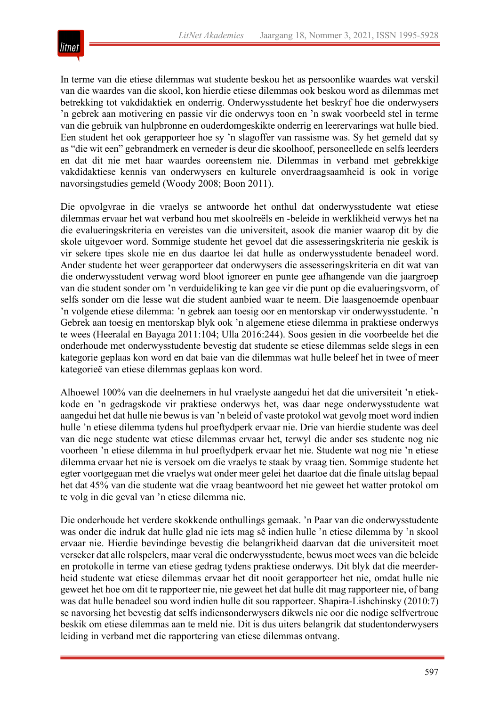

In terme van die etiese dilemmas wat studente beskou het as persoonlike waardes wat verskil van die waardes van die skool, kon hierdie etiese dilemmas ook beskou word as dilemmas met betrekking tot vakdidaktiek en onderrig. Onderwysstudente het beskryf hoe die onderwysers 'n gebrek aan motivering en passie vir die onderwys toon en 'n swak voorbeeld stel in terme van die gebruik van hulpbronne en ouderdomgeskikte onderrig en leerervarings wat hulle bied. Een student het ook gerapporteer hoe sy 'n slagoffer van rassisme was. Sy het gemeld dat sy as "die wit een" gebrandmerk en verneder is deur die skoolhoof, personeellede en selfs leerders en dat dit nie met haar waardes ooreenstem nie. Dilemmas in verband met gebrekkige vakdidaktiese kennis van onderwysers en kulturele onverdraagsaamheid is ook in vorige navorsingstudies gemeld (Woody 2008; Boon 2011).

Die opvolgvrae in die vraelys se antwoorde het onthul dat onderwysstudente wat etiese dilemmas ervaar het wat verband hou met skoolreëls en -beleide in werklikheid verwys het na die evalueringskriteria en vereistes van die universiteit, asook die manier waarop dit by die skole uitgevoer word. Sommige studente het gevoel dat die assesseringskriteria nie geskik is vir sekere tipes skole nie en dus daartoe lei dat hulle as onderwysstudente benadeel word. Ander studente het weer gerapporteer dat onderwysers die assesseringskriteria en dit wat van die onderwysstudent verwag word bloot ignoreer en punte gee afhangende van die jaargroep van die student sonder om 'n verduideliking te kan gee vir die punt op die evalueringsvorm, of selfs sonder om die lesse wat die student aanbied waar te neem. Die laasgenoemde openbaar 'n volgende etiese dilemma: 'n gebrek aan toesig oor en mentorskap vir onderwysstudente. 'n Gebrek aan toesig en mentorskap blyk ook 'n algemene etiese dilemma in praktiese onderwys te wees (Heeralal en Bayaga 2011:104; Ulla 2016:244). Soos gesien in die voorbeelde het die onderhoude met onderwysstudente bevestig dat studente se etiese dilemmas selde slegs in een kategorie geplaas kon word en dat baie van die dilemmas wat hulle beleef het in twee of meer kategorieë van etiese dilemmas geplaas kon word.

Alhoewel 100% van die deelnemers in hul vraelyste aangedui het dat die universiteit 'n etiekkode en 'n gedragskode vir praktiese onderwys het, was daar nege onderwysstudente wat aangedui het dat hulle nie bewus is van 'n beleid of vaste protokol wat gevolg moet word indien hulle 'n etiese dilemma tydens hul proeftydperk ervaar nie. Drie van hierdie studente was deel van die nege studente wat etiese dilemmas ervaar het, terwyl die ander ses studente nog nie voorheen 'n etiese dilemma in hul proeftydperk ervaar het nie. Studente wat nog nie 'n etiese dilemma ervaar het nie is versoek om die vraelys te staak by vraag tien. Sommige studente het egter voortgegaan met die vraelys wat onder meer gelei het daartoe dat die finale uitslag bepaal het dat 45% van die studente wat die vraag beantwoord het nie geweet het watter protokol om te volg in die geval van 'n etiese dilemma nie.

Die onderhoude het verdere skokkende onthullings gemaak. 'n Paar van die onderwysstudente was onder die indruk dat hulle glad nie iets mag sê indien hulle 'n etiese dilemma by 'n skool ervaar nie. Hierdie bevindinge bevestig die belangrikheid daarvan dat die universiteit moet verseker dat alle rolspelers, maar veral die onderwysstudente, bewus moet wees van die beleide en protokolle in terme van etiese gedrag tydens praktiese onderwys. Dit blyk dat die meerderheid studente wat etiese dilemmas ervaar het dit nooit gerapporteer het nie, omdat hulle nie geweet het hoe om dit te rapporteer nie, nie geweet het dat hulle dit mag rapporteer nie, of bang was dat hulle benadeel sou word indien hulle dit sou rapporteer. Shapira-Lishchinsky (2010:7) se navorsing het bevestig dat selfs indiensonderwysers dikwels nie oor die nodige selfvertroue beskik om etiese dilemmas aan te meld nie. Dit is dus uiters belangrik dat studentonderwysers leiding in verband met die rapportering van etiese dilemmas ontvang.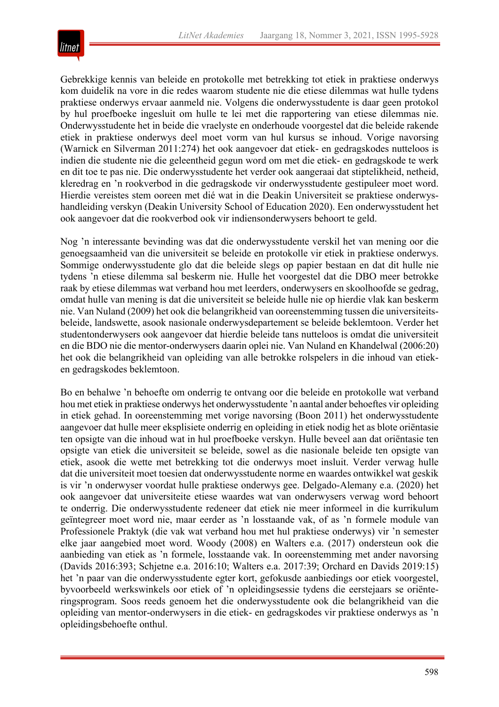

Gebrekkige kennis van beleide en protokolle met betrekking tot etiek in praktiese onderwys kom duidelik na vore in die redes waarom studente nie die etiese dilemmas wat hulle tydens praktiese onderwys ervaar aanmeld nie. Volgens die onderwysstudente is daar geen protokol by hul proefboeke ingesluit om hulle te lei met die rapportering van etiese dilemmas nie. Onderwysstudente het in beide die vraelyste en onderhoude voorgestel dat die beleide rakende etiek in praktiese onderwys deel moet vorm van hul kursus se inhoud. Vorige navorsing (Warnick en Silverman 2011:274) het ook aangevoer dat etiek- en gedragskodes nutteloos is indien die studente nie die geleentheid gegun word om met die etiek- en gedragskode te werk en dit toe te pas nie. Die onderwysstudente het verder ook aangeraai dat stiptelikheid, netheid, kleredrag en 'n rookverbod in die gedragskode vir onderwysstudente gestipuleer moet word. Hierdie vereistes stem ooreen met dié wat in die Deakin Universiteit se praktiese onderwyshandleiding verskyn (Deakin University School of Education 2020). Een onderwysstudent het ook aangevoer dat die rookverbod ook vir indiensonderwysers behoort te geld.

Nog 'n interessante bevinding was dat die onderwysstudente verskil het van mening oor die genoegsaamheid van die universiteit se beleide en protokolle vir etiek in praktiese onderwys. Sommige onderwysstudente glo dat die beleide slegs op papier bestaan en dat dit hulle nie tydens 'n etiese dilemma sal beskerm nie. Hulle het voorgestel dat die DBO meer betrokke raak by etiese dilemmas wat verband hou met leerders, onderwysers en skoolhoofde se gedrag, omdat hulle van mening is dat die universiteit se beleide hulle nie op hierdie vlak kan beskerm nie. Van Nuland (2009) het ook die belangrikheid van ooreenstemming tussen die universiteitsbeleide, landswette, asook nasionale onderwysdepartement se beleide beklemtoon. Verder het studentonderwysers ook aangevoer dat hierdie beleide tans nutteloos is omdat die universiteit en die BDO nie die mentor-onderwysers daarin oplei nie. Van Nuland en Khandelwal (2006:20) het ook die belangrikheid van opleiding van alle betrokke rolspelers in die inhoud van etieken gedragskodes beklemtoon.

Bo en behalwe 'n behoefte om onderrig te ontvang oor die beleide en protokolle wat verband hou met etiek in praktiese onderwys het onderwysstudente 'n aantal ander behoeftes vir opleiding in etiek gehad. In ooreenstemming met vorige navorsing (Boon 2011) het onderwysstudente aangevoer dat hulle meer eksplisiete onderrig en opleiding in etiek nodig het as blote oriëntasie ten opsigte van die inhoud wat in hul proefboeke verskyn. Hulle beveel aan dat oriëntasie ten opsigte van etiek die universiteit se beleide, sowel as die nasionale beleide ten opsigte van etiek, asook die wette met betrekking tot die onderwys moet insluit. Verder verwag hulle dat die universiteit moet toesien dat onderwysstudente norme en waardes ontwikkel wat geskik is vir 'n onderwyser voordat hulle praktiese onderwys gee. Delgado-Alemany e.a. (2020) het ook aangevoer dat universiteite etiese waardes wat van onderwysers verwag word behoort te onderrig. Die onderwysstudente redeneer dat etiek nie meer informeel in die kurrikulum geïntegreer moet word nie, maar eerder as 'n losstaande vak, of as 'n formele module van Professionele Praktyk (die vak wat verband hou met hul praktiese onderwys) vir 'n semester elke jaar aangebied moet word. Woody (2008) en Walters e.a. (2017) ondersteun ook die aanbieding van etiek as 'n formele, losstaande vak. In ooreenstemming met ander navorsing (Davids 2016:393; Schjetne e.a. 2016:10; Walters e.a. 2017:39; Orchard en Davids 2019:15) het 'n paar van die onderwysstudente egter kort, gefokusde aanbiedings oor etiek voorgestel, byvoorbeeld werkswinkels oor etiek of 'n opleidingsessie tydens die eerstejaars se oriënteringsprogram. Soos reeds genoem het die onderwysstudente ook die belangrikheid van die opleiding van mentor-onderwysers in die etiek- en gedragskodes vir praktiese onderwys as 'n opleidingsbehoefte onthul.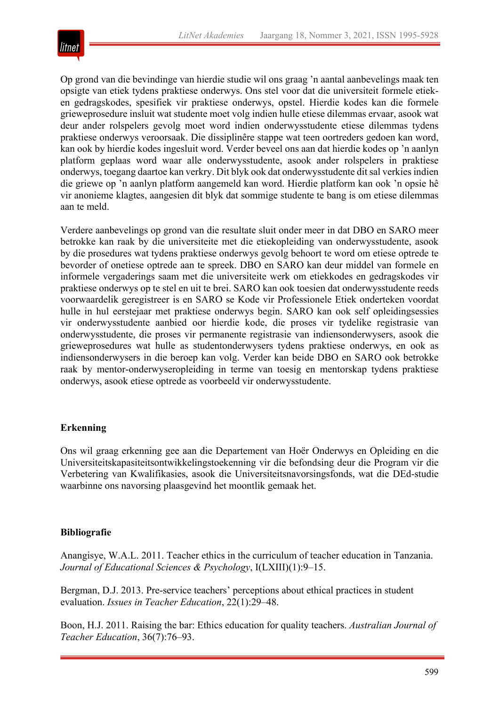

Op grond van die bevindinge van hierdie studie wil ons graag 'n aantal aanbevelings maak ten opsigte van etiek tydens praktiese onderwys. Ons stel voor dat die universiteit formele etieken gedragskodes, spesifiek vir praktiese onderwys, opstel. Hierdie kodes kan die formele grieweprosedure insluit wat studente moet volg indien hulle etiese dilemmas ervaar, asook wat deur ander rolspelers gevolg moet word indien onderwysstudente etiese dilemmas tydens praktiese onderwys veroorsaak. Die dissiplinêre stappe wat teen oortreders gedoen kan word, kan ook by hierdie kodes ingesluit word. Verder beveel ons aan dat hierdie kodes op 'n aanlyn platform geplaas word waar alle onderwysstudente, asook ander rolspelers in praktiese onderwys, toegang daartoe kan verkry. Dit blyk ook dat onderwysstudente dit sal verkies indien die griewe op 'n aanlyn platform aangemeld kan word. Hierdie platform kan ook 'n opsie hê vir anonieme klagtes, aangesien dit blyk dat sommige studente te bang is om etiese dilemmas aan te meld.

Verdere aanbevelings op grond van die resultate sluit onder meer in dat DBO en SARO meer betrokke kan raak by die universiteite met die etiekopleiding van onderwysstudente, asook by die prosedures wat tydens praktiese onderwys gevolg behoort te word om etiese optrede te bevorder of onetiese optrede aan te spreek. DBO en SARO kan deur middel van formele en informele vergaderings saam met die universiteite werk om etiekkodes en gedragskodes vir praktiese onderwys op te stel en uit te brei. SARO kan ook toesien dat onderwysstudente reeds voorwaardelik geregistreer is en SARO se Kode vir Professionele Etiek onderteken voordat hulle in hul eerstejaar met praktiese onderwys begin. SARO kan ook self opleidingsessies vir onderwysstudente aanbied oor hierdie kode, die proses vir tydelike registrasie van onderwysstudente, die proses vir permanente registrasie van indiensonderwysers, asook die grieweprosedures wat hulle as studentonderwysers tydens praktiese onderwys, en ook as indiensonderwysers in die beroep kan volg. Verder kan beide DBO en SARO ook betrokke raak by mentor-onderwyseropleiding in terme van toesig en mentorskap tydens praktiese onderwys, asook etiese optrede as voorbeeld vir onderwysstudente.

# **Erkenning**

Ons wil graag erkenning gee aan die Departement van Hoër Onderwys en Opleiding en die Universiteitskapasiteitsontwikkelingstoekenning vir die befondsing deur die Program vir die Verbetering van Kwalifikasies, asook die Universiteitsnavorsingsfonds, wat die DEd-studie waarbinne ons navorsing plaasgevind het moontlik gemaak het.

# **Bibliografie**

Anangisye, W.A.L. 2011. Teacher ethics in the curriculum of teacher education in Tanzania. *Journal of Educational Sciences & Psychology*, I(LXIII)(1):9–15.

Bergman, D.J. 2013. Pre-service teachers' perceptions about ethical practices in student evaluation. *Issues in Teacher Education*, 22(1):29–48.

Boon, H.J. 2011. Raising the bar: Ethics education for quality teachers. *Australian Journal of Teacher Education*, 36(7):76–93.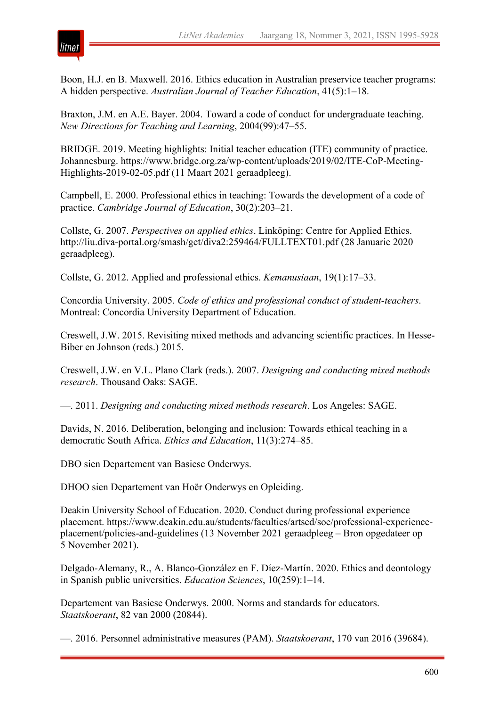

Boon, H.J. en B. Maxwell. 2016. Ethics education in Australian preservice teacher programs: A hidden perspective. *Australian Journal of Teacher Education*, 41(5):1–18.

Braxton, J.M. en A.E. Bayer. 2004. Toward a code of conduct for undergraduate teaching. *New Directions for Teaching and Learning*, 2004(99):47–55.

BRIDGE. 2019. Meeting highlights: Initial teacher education (ITE) community of practice. Johannesburg. https://www.bridge.org.za/wp-content/uploads/2019/02/ITE-CoP-Meeting-Highlights-2019-02-05.pdf (11 Maart 2021 geraadpleeg).

Campbell, E. 2000. Professional ethics in teaching: Towards the development of a code of practice. *Cambridge Journal of Education*, 30(2):203–21.

Collste, G. 2007. *Perspectives on applied ethics*. Linköping: Centre for Applied Ethics. http://liu.diva-portal.org/smash/get/diva2:259464/FULLTEXT01.pdf (28 Januarie 2020 geraadpleeg).

Collste, G. 2012. Applied and professional ethics. *Kemanusiaan*, 19(1):17–33.

Concordia University. 2005. *Code of ethics and professional conduct of student-teachers*. Montreal: Concordia University Department of Education.

Creswell, J.W. 2015. Revisiting mixed methods and advancing scientific practices. In Hesse-Biber en Johnson (reds.) 2015.

Creswell, J.W. en V.L. Plano Clark (reds.). 2007. *Designing and conducting mixed methods research*. Thousand Oaks: SAGE.

—. 2011. *Designing and conducting mixed methods research*. Los Angeles: SAGE.

Davids, N. 2016. Deliberation, belonging and inclusion: Towards ethical teaching in a democratic South Africa. *Ethics and Education*, 11(3):274–85.

DBO sien Departement van Basiese Onderwys.

DHOO sien Departement van Hoër Onderwys en Opleiding.

Deakin University School of Education. 2020. Conduct during professional experience placement. https://www.deakin.edu.au/students/faculties/artsed/soe/professional‐experience‐ placement/policies‐and‐guidelines (13 November 2021 geraadpleeg – Bron opgedateer op 5 November 2021).

Delgado-Alemany, R., A. Blanco-González en F. Díez-Martín. 2020. Ethics and deontology in Spanish public universities. *Education Sciences*, 10(259):1–14.

Departement van Basiese Onderwys. 2000. Norms and standards for educators. *Staatskoerant*, 82 van 2000 (20844).

—. 2016. Personnel administrative measures (PAM). *Staatskoerant*, 170 van 2016 (39684).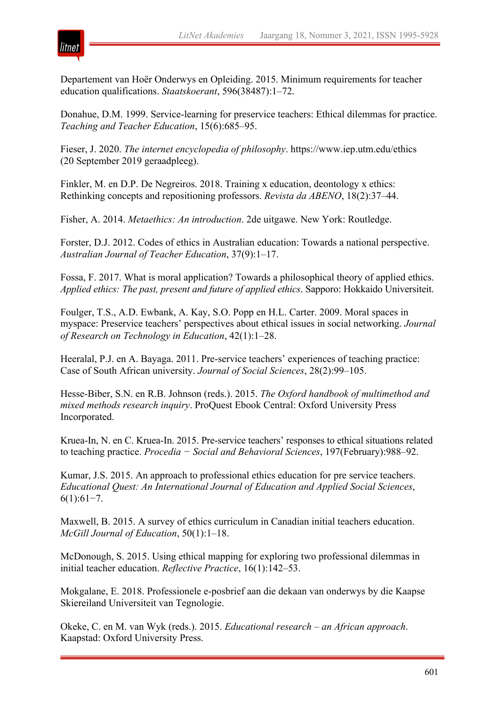

Departement van Hoër Onderwys en Opleiding. 2015. Minimum requirements for teacher education qualifications. *Staatskoerant*, 596(38487):1–72.

Donahue, D.M. 1999. Service-learning for preservice teachers: Ethical dilemmas for practice. *Teaching and Teacher Education*, 15(6):685–95.

Fieser, J. 2020. *The internet encyclopedia of philosophy*. https://www.iep.utm.edu/ethics (20 September 2019 geraadpleeg).

Finkler, M. en D.P. De Negreiros. 2018. Training x education, deontology x ethics: Rethinking concepts and repositioning professors. *Revista da ABENO*, 18(2):37–44.

Fisher, A. 2014. *Metaethics: An introduction*. 2de uitgawe. New York: Routledge.

Forster, D.J. 2012. Codes of ethics in Australian education: Towards a national perspective. *Australian Journal of Teacher Education*, 37(9):1–17.

Fossa, F. 2017. What is moral application? Towards a philosophical theory of applied ethics. *Applied ethics: The past, present and future of applied ethics*. Sapporo: Hokkaido Universiteit.

Foulger, T.S., A.D. Ewbank, A. Kay, S.O. Popp en H.L. Carter. 2009. Moral spaces in myspace: Preservice teachers' perspectives about ethical issues in social networking. *Journal of Research on Technology in Education*, 42(1):1–28.

Heeralal, P.J. en A. Bayaga. 2011. Pre-service teachers' experiences of teaching practice: Case of South African university. *Journal of Social Sciences*, 28(2):99–105.

Hesse-Biber, S.N. en R.B. Johnson (reds.). 2015. *The Oxford handbook of multimethod and mixed methods research inquiry*. ProQuest Ebook Central: Oxford University Press Incorporated.

Kruea-In, N. en C. Kruea-In. 2015. Pre-service teachers' responses to ethical situations related to teaching practice. *Procedia − Social and Behavioral Sciences*, 197(February):988–92.

Kumar, J.S. 2015. An approach to professional ethics education for pre service teachers. *Educational Quest: An International Journal of Education and Applied Social Sciences*, 6(1):61−7.

Maxwell, B. 2015. A survey of ethics curriculum in Canadian initial teachers education. *McGill Journal of Education*, 50(1):1–18.

McDonough, S. 2015. Using ethical mapping for exploring two professional dilemmas in initial teacher education. *Reflective Practice*, 16(1):142–53.

Mokgalane, E. 2018. Professionele e-posbrief aan die dekaan van onderwys by die Kaapse Skiereiland Universiteit van Tegnologie.

Okeke, C. en M. van Wyk (reds.). 2015. *Educational research – an African approach*. Kaapstad: Oxford University Press.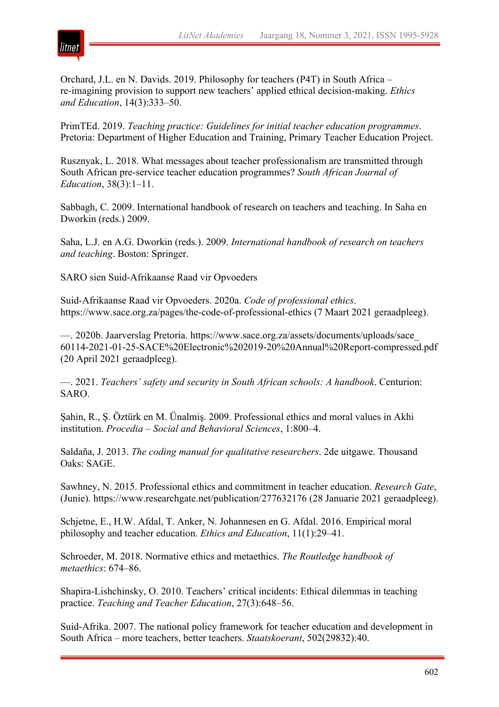

Orchard, J.L. en N. Davids. 2019. Philosophy for teachers (P4T) in South Africa – re-imagining provision to support new teachers' applied ethical decision-making. *Ethics and Education*, 14(3):333–50.

PrimTEd. 2019. *Teaching practice: Guidelines for initial teacher education programmes*. Pretoria: Department of Higher Education and Training, Primary Teacher Education Project.

Rusznyak, L. 2018. What messages about teacher professionalism are transmitted through South African pre-service teacher education programmes? *South African Journal of Education*, 38(3):1–11.

Sabbagh, C. 2009. International handbook of research on teachers and teaching. In Saha en Dworkin (reds.) 2009.

Saha, L.J. en A.G. Dworkin (reds.). 2009. *International handbook of research on teachers and teaching*. Boston: Springer.

SARO sien Suid-Afrikaanse Raad vir Opvoeders

Suid-Afrikaanse Raad vir Opvoeders. 2020a. *Code of professional ethics*. https://www.sace.org.za/pages/the-code-of-professional-ethics (7 Maart 2021 geraadpleeg).

—. 2020b. Jaarverslag Pretoria. https://www.sace.org.za/assets/documents/uploads/sace\_ 60114-2021-01-25-SACE%20Electronic%202019-20%20Annual%20Report-compressed.pdf (20 April 2021 geraadpleeg).

—. 2021. *Teachers' safety and security in South African schools: A handbook*. Centurion: SARO.

Şahin, R., Ş. Öztürk en M. Ünalmiş. 2009. Professional ethics and moral values in Akhi institution. *Procedia – Social and Behavioral Sciences*, 1:800–4.

Saldaña, J. 2013. *The coding manual for qualitative researchers*. 2de uitgawe. Thousand Oaks: SAGE.

Sawhney, N. 2015. Professional ethics and commitment in teacher education. *Research Gate*, (Junie). https://www.researchgate.net/publication/277632176 (28 Januarie 2021 geraadpleeg).

Schjetne, E., H.W. Afdal, T. Anker, N. Johannesen en G. Afdal. 2016. Empirical moral philosophy and teacher education. *Ethics and Education*, 11(1):29–41.

Schroeder, M. 2018. Normative ethics and metaethics. *The Routledge handbook of metaethics*: 674–86.

Shapira-Lishchinsky, O. 2010. Teachers' critical incidents: Ethical dilemmas in teaching practice. *Teaching and Teacher Education*, 27(3):648–56.

Suid-Afrika. 2007. The national policy framework for teacher education and development in South Africa – more teachers, better teachers. *Staatskoerant*, 502(29832):40.